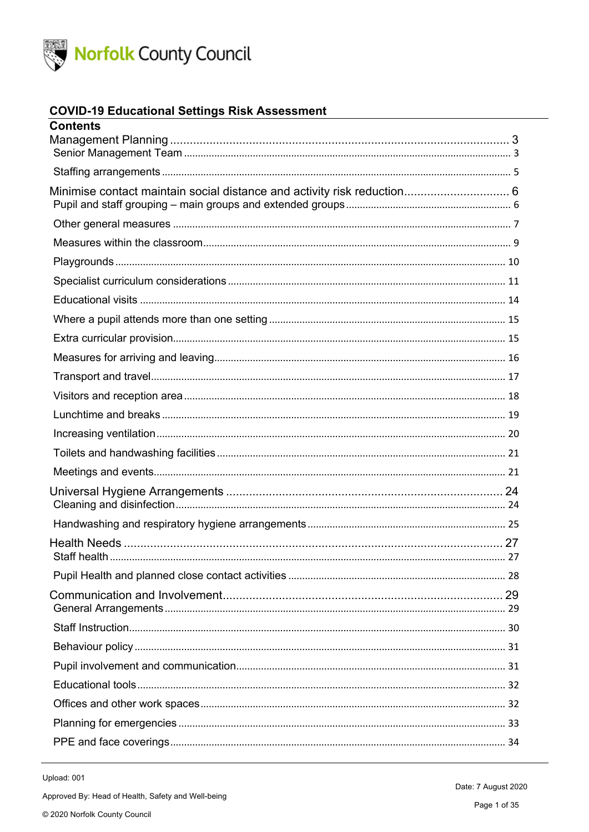

### **COVID-19 Educational Settings Risk Assessment**

| Contents |  |
|----------|--|
|          |  |
|          |  |
|          |  |
|          |  |
|          |  |
|          |  |
|          |  |
|          |  |
|          |  |
|          |  |
|          |  |
|          |  |
|          |  |
|          |  |
|          |  |
|          |  |
|          |  |
|          |  |
|          |  |
|          |  |
|          |  |
|          |  |
|          |  |
|          |  |
|          |  |
|          |  |
|          |  |
|          |  |
|          |  |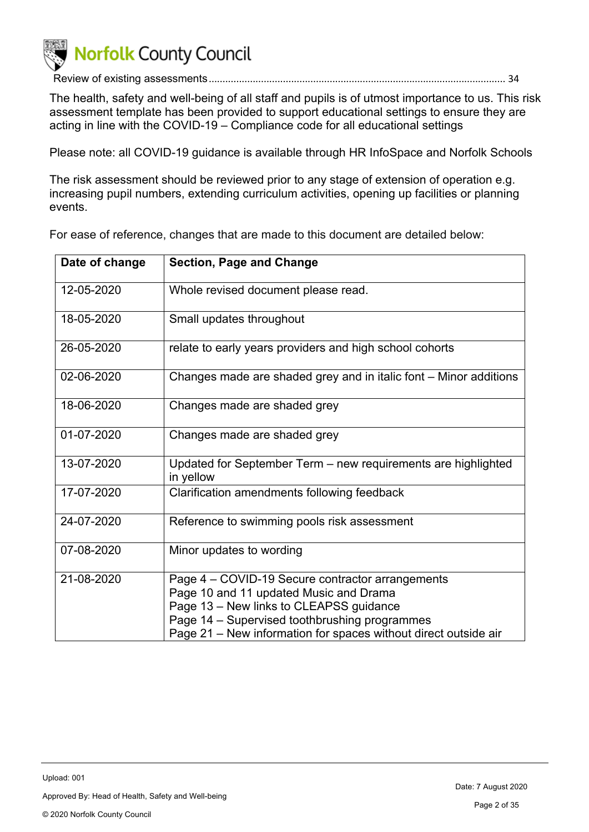

Review of existing assessments............................................................................................................ 34

The health, safety and well-being of all staff and pupils is of utmost importance to us. This risk assessment template has been provided to support educational settings to ensure they are acting in line with the COVID-19 – Compliance code for all educational settings

Please note: all COVID-19 guidance is available through HR InfoSpace and Norfolk Schools

The risk assessment should be reviewed prior to any stage of extension of operation e.g. increasing pupil numbers, extending curriculum activities, opening up facilities or planning events.

For ease of reference, changes that are made to this document are detailed below:

| Date of change | <b>Section, Page and Change</b>                                            |
|----------------|----------------------------------------------------------------------------|
| 12-05-2020     | Whole revised document please read.                                        |
| 18-05-2020     | Small updates throughout                                                   |
| 26-05-2020     | relate to early years providers and high school cohorts                    |
| 02-06-2020     | Changes made are shaded grey and in italic font – Minor additions          |
| 18-06-2020     | Changes made are shaded grey                                               |
| 01-07-2020     | Changes made are shaded grey                                               |
| 13-07-2020     | Updated for September Term - new requirements are highlighted<br>in yellow |
| 17-07-2020     | Clarification amendments following feedback                                |
| 24-07-2020     | Reference to swimming pools risk assessment                                |
| 07-08-2020     | Minor updates to wording                                                   |
| 21-08-2020     | Page 4 – COVID-19 Secure contractor arrangements                           |
|                | Page 10 and 11 updated Music and Drama                                     |
|                | Page 13 - New links to CLEAPSS guidance                                    |
|                | Page 14 - Supervised toothbrushing programmes                              |
|                | Page 21 – New information for spaces without direct outside air            |

Upload: 001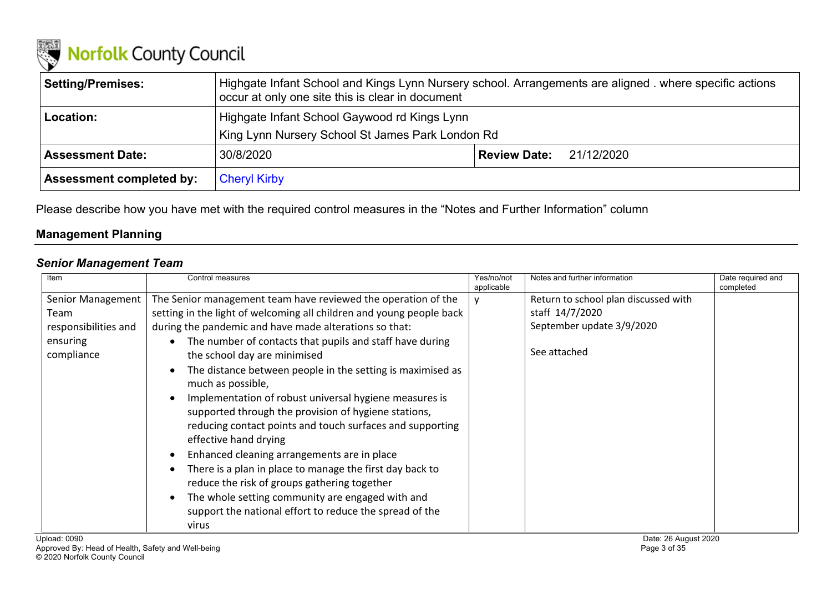

| <b>Setting/Premises:</b>        | Highgate Infant School and Kings Lynn Nursery school. Arrangements are aligned . where specific actions<br>occur at only one site this is clear in document |  |  |
|---------------------------------|-------------------------------------------------------------------------------------------------------------------------------------------------------------|--|--|
| Location:                       | Highgate Infant School Gaywood rd Kings Lynn<br>King Lynn Nursery School St James Park London Rd                                                            |  |  |
| <b>Assessment Date:</b>         | 30/8/2020<br>Review Date:<br>21/12/2020                                                                                                                     |  |  |
| <b>Assessment completed by:</b> | <b>Cheryl Kirby</b>                                                                                                                                         |  |  |

Please describe how you have met with the required control measures in the "Notes and Further Information" column

### **Management Planning**

### *Senior Management Team*

| Item                                                                        | Control measures                                                                                                                                                                                                                                                                                                                                                                                                                                                                                                                                                                                                                                                                                                                                                                                                                                                          | Yes/no/not<br>applicable | Notes and further information                                                                        | Date required and<br>completed |
|-----------------------------------------------------------------------------|---------------------------------------------------------------------------------------------------------------------------------------------------------------------------------------------------------------------------------------------------------------------------------------------------------------------------------------------------------------------------------------------------------------------------------------------------------------------------------------------------------------------------------------------------------------------------------------------------------------------------------------------------------------------------------------------------------------------------------------------------------------------------------------------------------------------------------------------------------------------------|--------------------------|------------------------------------------------------------------------------------------------------|--------------------------------|
| Senior Management<br>Team<br>responsibilities and<br>ensuring<br>compliance | The Senior management team have reviewed the operation of the<br>setting in the light of welcoming all children and young people back<br>during the pandemic and have made alterations so that:<br>The number of contacts that pupils and staff have during<br>the school day are minimised<br>The distance between people in the setting is maximised as<br>much as possible,<br>Implementation of robust universal hygiene measures is<br>supported through the provision of hygiene stations,<br>reducing contact points and touch surfaces and supporting<br>effective hand drying<br>Enhanced cleaning arrangements are in place<br>There is a plan in place to manage the first day back to<br>reduce the risk of groups gathering together<br>The whole setting community are engaged with and<br>support the national effort to reduce the spread of the<br>virus |                          | Return to school plan discussed with<br>staff 14/7/2020<br>September update 3/9/2020<br>See attached |                                |
| Upload: 0090                                                                |                                                                                                                                                                                                                                                                                                                                                                                                                                                                                                                                                                                                                                                                                                                                                                                                                                                                           |                          | Date: 26 August 2020                                                                                 |                                |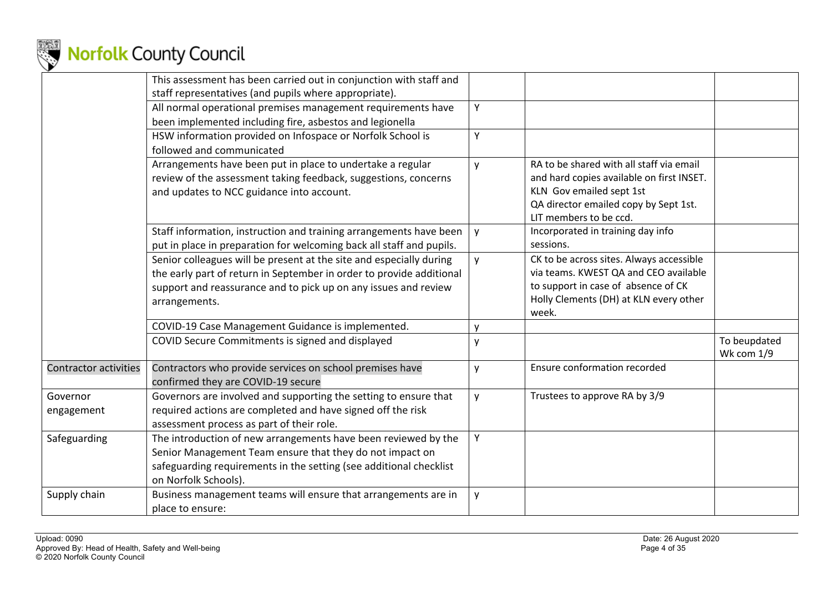

|                              | This assessment has been carried out in conjunction with staff and                                                                                                                                                              |   |                                                                                                                                                                                      |                            |
|------------------------------|---------------------------------------------------------------------------------------------------------------------------------------------------------------------------------------------------------------------------------|---|--------------------------------------------------------------------------------------------------------------------------------------------------------------------------------------|----------------------------|
|                              | staff representatives (and pupils where appropriate).                                                                                                                                                                           |   |                                                                                                                                                                                      |                            |
|                              | All normal operational premises management requirements have<br>been implemented including fire, asbestos and legionella                                                                                                        | Y |                                                                                                                                                                                      |                            |
|                              | HSW information provided on Infospace or Norfolk School is<br>followed and communicated                                                                                                                                         | Y |                                                                                                                                                                                      |                            |
|                              | Arrangements have been put in place to undertake a regular<br>review of the assessment taking feedback, suggestions, concerns<br>and updates to NCC guidance into account.                                                      | y | RA to be shared with all staff via email<br>and hard copies available on first INSET.<br>KLN Gov emailed sept 1st<br>QA director emailed copy by Sept 1st.<br>LIT members to be ccd. |                            |
|                              | Staff information, instruction and training arrangements have been<br>put in place in preparation for welcoming back all staff and pupils.                                                                                      | y | Incorporated in training day info<br>sessions.                                                                                                                                       |                            |
|                              | Senior colleagues will be present at the site and especially during<br>the early part of return in September in order to provide additional<br>support and reassurance and to pick up on any issues and review<br>arrangements. | y | CK to be across sites. Always accessible<br>via teams. KWEST QA and CEO available<br>to support in case of absence of CK<br>Holly Clements (DH) at KLN every other<br>week.          |                            |
|                              | COVID-19 Case Management Guidance is implemented.                                                                                                                                                                               | y |                                                                                                                                                                                      |                            |
|                              | COVID Secure Commitments is signed and displayed                                                                                                                                                                                | у |                                                                                                                                                                                      | To beupdated<br>Wk com 1/9 |
| <b>Contractor activities</b> | Contractors who provide services on school premises have<br>confirmed they are COVID-19 secure                                                                                                                                  | y | Ensure conformation recorded                                                                                                                                                         |                            |
| Governor<br>engagement       | Governors are involved and supporting the setting to ensure that<br>required actions are completed and have signed off the risk<br>assessment process as part of their role.                                                    | y | Trustees to approve RA by 3/9                                                                                                                                                        |                            |
| Safeguarding                 | The introduction of new arrangements have been reviewed by the<br>Senior Management Team ensure that they do not impact on<br>safeguarding requirements in the setting (see additional checklist<br>on Norfolk Schools).        | Y |                                                                                                                                                                                      |                            |
| Supply chain                 | Business management teams will ensure that arrangements are in<br>place to ensure:                                                                                                                                              | y |                                                                                                                                                                                      |                            |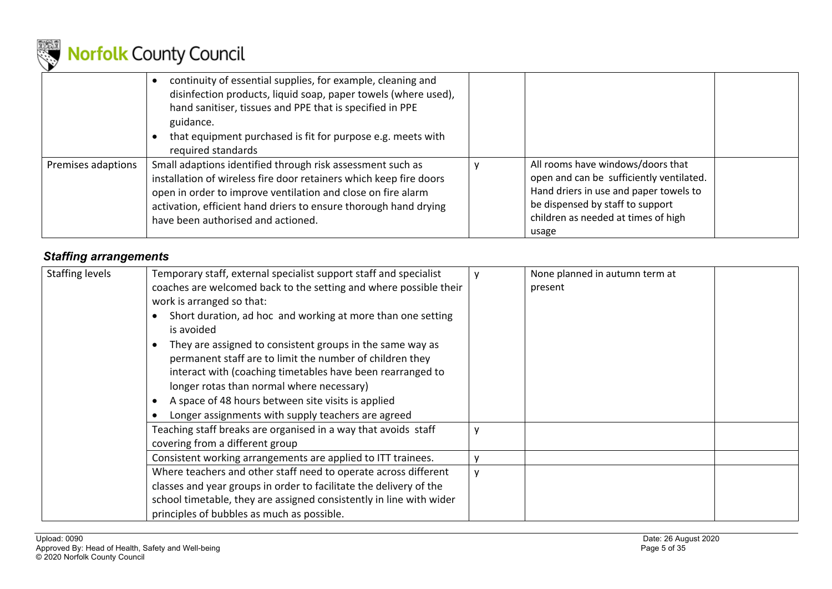

|                    | continuity of essential supplies, for example, cleaning and<br>disinfection products, liquid soap, paper towels (where used),<br>hand sanitiser, tissues and PPE that is specified in PPE<br>guidance.<br>that equipment purchased is fit for purpose e.g. meets with<br>required standards                |                                                                                                                                                                                                             |  |
|--------------------|------------------------------------------------------------------------------------------------------------------------------------------------------------------------------------------------------------------------------------------------------------------------------------------------------------|-------------------------------------------------------------------------------------------------------------------------------------------------------------------------------------------------------------|--|
| Premises adaptions | Small adaptions identified through risk assessment such as<br>installation of wireless fire door retainers which keep fire doors<br>open in order to improve ventilation and close on fire alarm<br>activation, efficient hand driers to ensure thorough hand drying<br>have been authorised and actioned. | All rooms have windows/doors that<br>open and can be sufficiently ventilated.<br>Hand driers in use and paper towels to<br>be dispensed by staff to support<br>children as needed at times of high<br>usage |  |

### *Staffing arrangements*

| <b>Staffing levels</b> | Temporary staff, external specialist support staff and specialist<br>coaches are welcomed back to the setting and where possible their<br>work is arranged so that:<br>Short duration, ad hoc and working at more than one setting<br>is avoided<br>They are assigned to consistent groups in the same way as<br>permanent staff are to limit the number of children they<br>interact with (coaching timetables have been rearranged to<br>longer rotas than normal where necessary)<br>A space of 48 hours between site visits is applied<br>Longer assignments with supply teachers are agreed | None planned in autumn term at<br>present |
|------------------------|--------------------------------------------------------------------------------------------------------------------------------------------------------------------------------------------------------------------------------------------------------------------------------------------------------------------------------------------------------------------------------------------------------------------------------------------------------------------------------------------------------------------------------------------------------------------------------------------------|-------------------------------------------|
|                        | Teaching staff breaks are organised in a way that avoids staff<br>covering from a different group<br>Consistent working arrangements are applied to ITT trainees.                                                                                                                                                                                                                                                                                                                                                                                                                                |                                           |
|                        | Where teachers and other staff need to operate across different<br>classes and year groups in order to facilitate the delivery of the<br>school timetable, they are assigned consistently in line with wider<br>principles of bubbles as much as possible.                                                                                                                                                                                                                                                                                                                                       |                                           |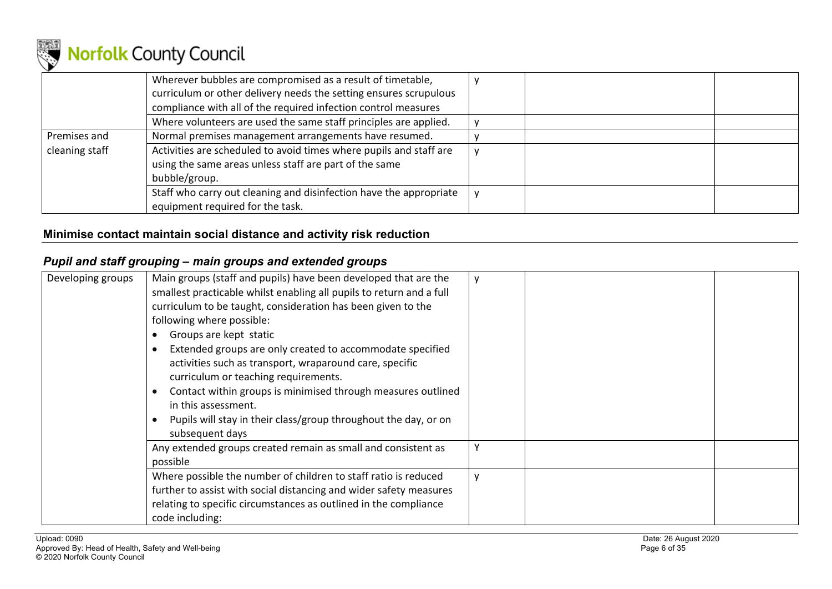

|                | Wherever bubbles are compromised as a result of timetable,<br>curriculum or other delivery needs the setting ensures scrupulous<br>compliance with all of the required infection control measures |  |
|----------------|---------------------------------------------------------------------------------------------------------------------------------------------------------------------------------------------------|--|
|                | Where volunteers are used the same staff principles are applied.                                                                                                                                  |  |
| Premises and   | Normal premises management arrangements have resumed.                                                                                                                                             |  |
| cleaning staff | Activities are scheduled to avoid times where pupils and staff are<br>using the same areas unless staff are part of the same<br>bubble/group.                                                     |  |
|                | Staff who carry out cleaning and disinfection have the appropriate<br>equipment required for the task.                                                                                            |  |

### **Minimise contact maintain social distance and activity risk reduction**

### *Pupil and staff grouping – main groups and extended groups*

| Developing groups | Main groups (staff and pupils) have been developed that are the<br>smallest practicable whilst enabling all pupils to return and a full<br>curriculum to be taught, consideration has been given to the<br>following where possible:<br>Groups are kept static<br>Extended groups are only created to accommodate specified<br>activities such as transport, wraparound care, specific<br>curriculum or teaching requirements.<br>Contact within groups is minimised through measures outlined<br>in this assessment.<br>Pupils will stay in their class/group throughout the day, or on<br>subsequent days |  |  |
|-------------------|-------------------------------------------------------------------------------------------------------------------------------------------------------------------------------------------------------------------------------------------------------------------------------------------------------------------------------------------------------------------------------------------------------------------------------------------------------------------------------------------------------------------------------------------------------------------------------------------------------------|--|--|
|                   | Any extended groups created remain as small and consistent as<br>possible                                                                                                                                                                                                                                                                                                                                                                                                                                                                                                                                   |  |  |
|                   | Where possible the number of children to staff ratio is reduced<br>further to assist with social distancing and wider safety measures<br>relating to specific circumstances as outlined in the compliance<br>code including:                                                                                                                                                                                                                                                                                                                                                                                |  |  |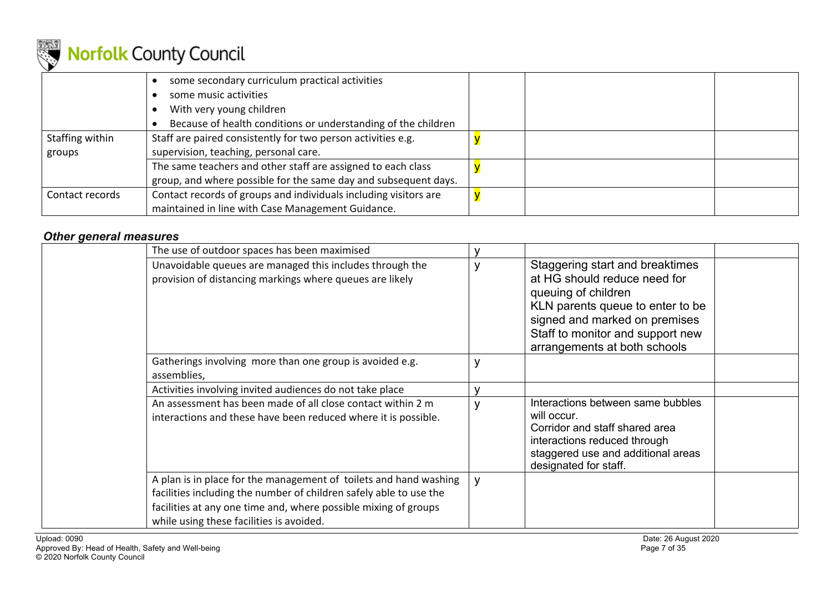

|                 | some secondary curriculum practical activities                   |  |
|-----------------|------------------------------------------------------------------|--|
|                 | some music activities                                            |  |
|                 | With very young children                                         |  |
|                 | Because of health conditions or understanding of the children    |  |
| Staffing within | Staff are paired consistently for two person activities e.g.     |  |
| groups          | supervision, teaching, personal care.                            |  |
|                 | The same teachers and other staff are assigned to each class     |  |
|                 | group, and where possible for the same day and subsequent days.  |  |
| Contact records | Contact records of groups and individuals including visitors are |  |
|                 | maintained in line with Case Management Guidance.                |  |

### *Other general measures*

| The use of outdoor spaces has been maximised                                                                                                                                                                                                           |              |                                                                                                                                                                                                                                 |  |
|--------------------------------------------------------------------------------------------------------------------------------------------------------------------------------------------------------------------------------------------------------|--------------|---------------------------------------------------------------------------------------------------------------------------------------------------------------------------------------------------------------------------------|--|
| Unavoidable queues are managed this includes through the<br>provision of distancing markings where queues are likely                                                                                                                                   |              | Staggering start and breaktimes<br>at HG should reduce need for<br>queuing of children<br>KLN parents queue to enter to be<br>signed and marked on premises<br>Staff to monitor and support new<br>arrangements at both schools |  |
| Gatherings involving more than one group is avoided e.g.<br>assemblies,                                                                                                                                                                                |              |                                                                                                                                                                                                                                 |  |
| Activities involving invited audiences do not take place                                                                                                                                                                                               |              |                                                                                                                                                                                                                                 |  |
| An assessment has been made of all close contact within 2 m<br>interactions and these have been reduced where it is possible.                                                                                                                          |              | Interactions between same bubbles<br>will occur.<br>Corridor and staff shared area<br>interactions reduced through<br>staggered use and additional areas<br>designated for staff.                                               |  |
| A plan is in place for the management of toilets and hand washing<br>facilities including the number of children safely able to use the<br>facilities at any one time and, where possible mixing of groups<br>while using these facilities is avoided. | $\mathsf{V}$ |                                                                                                                                                                                                                                 |  |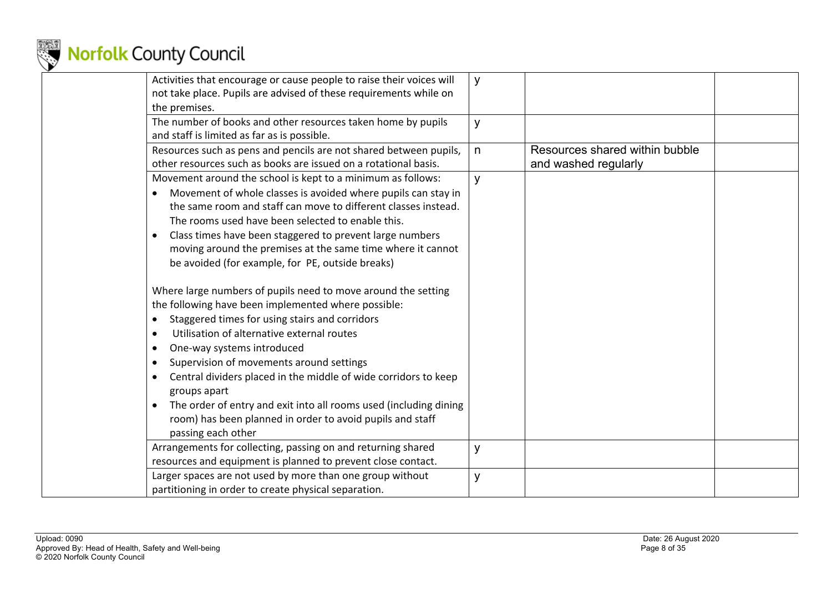

| Activities that encourage or cause people to raise their voices will<br>not take place. Pupils are advised of these requirements while on<br>the premises. | y            |                                |  |
|------------------------------------------------------------------------------------------------------------------------------------------------------------|--------------|--------------------------------|--|
|                                                                                                                                                            |              |                                |  |
| The number of books and other resources taken home by pupils                                                                                               | y            |                                |  |
| and staff is limited as far as is possible.                                                                                                                |              |                                |  |
| Resources such as pens and pencils are not shared between pupils,                                                                                          | $\mathsf{n}$ | Resources shared within bubble |  |
| other resources such as books are issued on a rotational basis.                                                                                            |              | and washed regularly           |  |
| Movement around the school is kept to a minimum as follows:                                                                                                | y            |                                |  |
| Movement of whole classes is avoided where pupils can stay in                                                                                              |              |                                |  |
| the same room and staff can move to different classes instead.                                                                                             |              |                                |  |
| The rooms used have been selected to enable this.                                                                                                          |              |                                |  |
| Class times have been staggered to prevent large numbers                                                                                                   |              |                                |  |
| moving around the premises at the same time where it cannot                                                                                                |              |                                |  |
| be avoided (for example, for PE, outside breaks)                                                                                                           |              |                                |  |
|                                                                                                                                                            |              |                                |  |
| Where large numbers of pupils need to move around the setting                                                                                              |              |                                |  |
| the following have been implemented where possible:                                                                                                        |              |                                |  |
| Staggered times for using stairs and corridors<br>$\bullet$                                                                                                |              |                                |  |
| Utilisation of alternative external routes<br>$\bullet$                                                                                                    |              |                                |  |
|                                                                                                                                                            |              |                                |  |
| One-way systems introduced                                                                                                                                 |              |                                |  |
| Supervision of movements around settings                                                                                                                   |              |                                |  |
| Central dividers placed in the middle of wide corridors to keep                                                                                            |              |                                |  |
| groups apart                                                                                                                                               |              |                                |  |
| The order of entry and exit into all rooms used (including dining                                                                                          |              |                                |  |
| room) has been planned in order to avoid pupils and staff                                                                                                  |              |                                |  |
| passing each other                                                                                                                                         |              |                                |  |
| Arrangements for collecting, passing on and returning shared                                                                                               | y            |                                |  |
| resources and equipment is planned to prevent close contact.                                                                                               |              |                                |  |
| Larger spaces are not used by more than one group without                                                                                                  | y            |                                |  |
| partitioning in order to create physical separation.                                                                                                       |              |                                |  |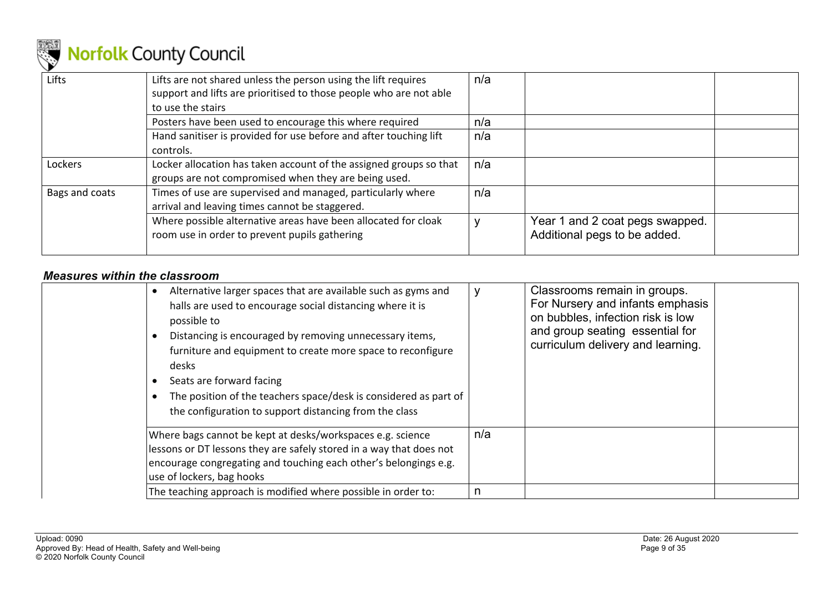

| Lifts          | Lifts are not shared unless the person using the lift requires<br>support and lifts are prioritised to those people who are not able<br>to use the stairs | n/a |                                                                 |  |
|----------------|-----------------------------------------------------------------------------------------------------------------------------------------------------------|-----|-----------------------------------------------------------------|--|
|                | Posters have been used to encourage this where required                                                                                                   | n/a |                                                                 |  |
|                | Hand sanitiser is provided for use before and after touching lift<br>controls.                                                                            | n/a |                                                                 |  |
| Lockers        | Locker allocation has taken account of the assigned groups so that<br>groups are not compromised when they are being used.                                | n/a |                                                                 |  |
| Bags and coats | Times of use are supervised and managed, particularly where<br>arrival and leaving times cannot be staggered.                                             | n/a |                                                                 |  |
|                | Where possible alternative areas have been allocated for cloak<br>room use in order to prevent pupils gathering                                           |     | Year 1 and 2 coat pegs swapped.<br>Additional pegs to be added. |  |

### *Measures within the classroom*

| Alternative larger spaces that are available such as gyms and<br>$\bullet$<br>halls are used to encourage social distancing where it is<br>possible to<br>Distancing is encouraged by removing unnecessary items,<br>furniture and equipment to create more space to reconfigure<br>desks<br>Seats are forward facing<br>The position of the teachers space/desk is considered as part of<br>the configuration to support distancing from the class |     | Classrooms remain in groups.<br>For Nursery and infants emphasis<br>on bubbles, infection risk is low<br>and group seating essential for<br>curriculum delivery and learning. |
|-----------------------------------------------------------------------------------------------------------------------------------------------------------------------------------------------------------------------------------------------------------------------------------------------------------------------------------------------------------------------------------------------------------------------------------------------------|-----|-------------------------------------------------------------------------------------------------------------------------------------------------------------------------------|
| Where bags cannot be kept at desks/workspaces e.g. science<br>lessons or DT lessons they are safely stored in a way that does not<br>encourage congregating and touching each other's belongings e.g.<br>use of lockers, bag hooks                                                                                                                                                                                                                  | n/a |                                                                                                                                                                               |
| The teaching approach is modified where possible in order to:                                                                                                                                                                                                                                                                                                                                                                                       | n   |                                                                                                                                                                               |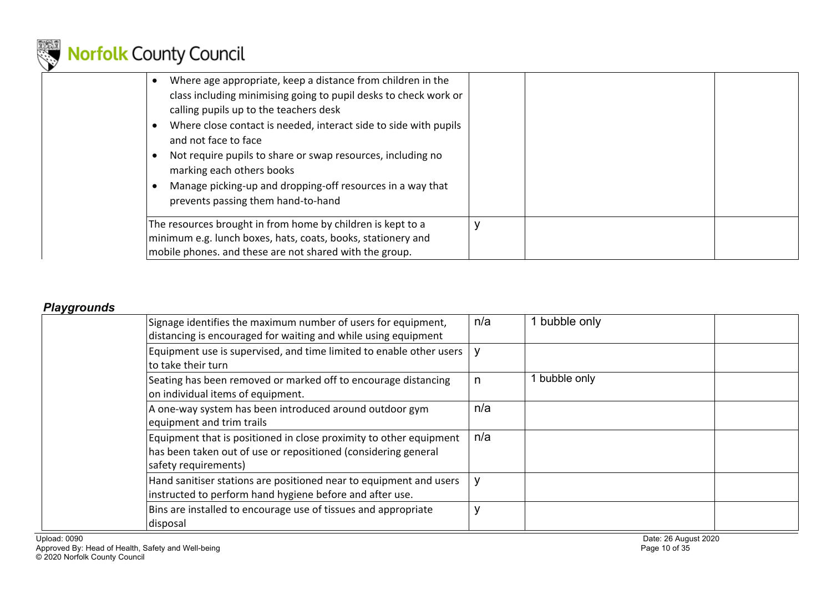

| Where age appropriate, keep a distance from children in the<br>class including minimising going to pupil desks to check work or<br>calling pupils up to the teachers desk<br>Where close contact is needed, interact side to side with pupils<br>and not face to face<br>Not require pupils to share or swap resources, including no<br>marking each others books<br>Manage picking-up and dropping-off resources in a way that<br>prevents passing them hand-to-hand |   |  |
|-----------------------------------------------------------------------------------------------------------------------------------------------------------------------------------------------------------------------------------------------------------------------------------------------------------------------------------------------------------------------------------------------------------------------------------------------------------------------|---|--|
| The resources brought in from home by children is kept to a<br>minimum e.g. lunch boxes, hats, coats, books, stationery and<br>mobile phones. and these are not shared with the group.                                                                                                                                                                                                                                                                                | v |  |

### *Playgrounds*

| Signage identifies the maximum number of users for equipment,<br>distancing is encouraged for waiting and while using equipment                              | n/a | 1 bubble only |
|--------------------------------------------------------------------------------------------------------------------------------------------------------------|-----|---------------|
| Equipment use is supervised, and time limited to enable other users<br>to take their turn                                                                    | y   |               |
| Seating has been removed or marked off to encourage distancing<br>on individual items of equipment.                                                          |     | bubble only   |
| A one-way system has been introduced around outdoor gym<br>equipment and trim trails                                                                         | n/a |               |
| Equipment that is positioned in close proximity to other equipment<br>has been taken out of use or repositioned (considering general<br>safety requirements) | n/a |               |
| Hand sanitiser stations are positioned near to equipment and users<br>instructed to perform hand hygiene before and after use.                               | y   |               |
| Bins are installed to encourage use of tissues and appropriate<br>disposal                                                                                   | V   |               |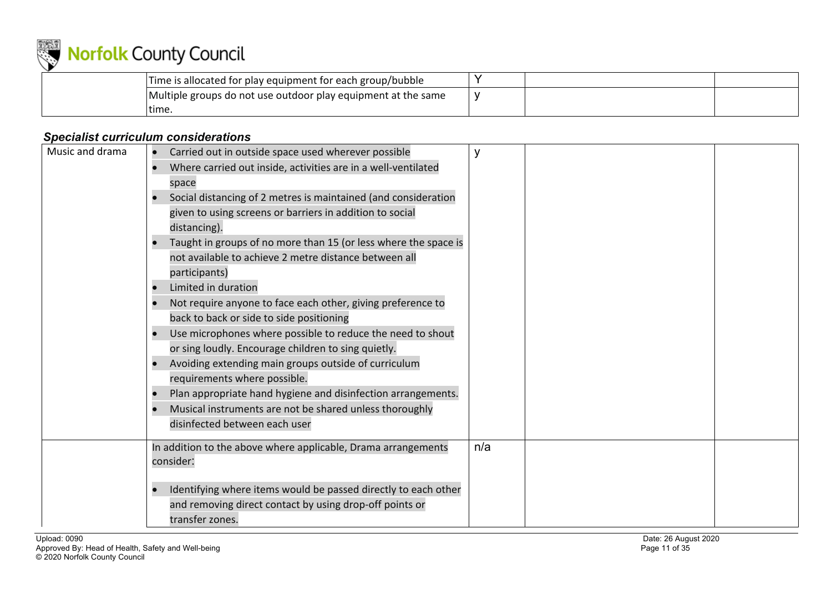

| Time is allocated for play equipment for each group/bubble    |  |  |
|---------------------------------------------------------------|--|--|
| Multiple groups do not use outdoor play equipment at the same |  |  |
| time                                                          |  |  |

### *Specialist curriculum considerations*

| Music and drama | Carried out in outside space used wherever possible<br>Where carried out inside, activities are in a well-ventilated<br>space<br>Social distancing of 2 metres is maintained (and consideration<br>given to using screens or barriers in addition to social<br>distancing).<br>Taught in groups of no more than 15 (or less where the space is<br>not available to achieve 2 metre distance between all<br>participants)<br>Limited in duration<br>Not require anyone to face each other, giving preference to<br>back to back or side to side positioning<br>Use microphones where possible to reduce the need to shout<br>or sing loudly. Encourage children to sing quietly.<br>Avoiding extending main groups outside of curriculum<br>requirements where possible.<br>Plan appropriate hand hygiene and disinfection arrangements.<br>Musical instruments are not be shared unless thoroughly<br>disinfected between each user |     |  |
|-----------------|-------------------------------------------------------------------------------------------------------------------------------------------------------------------------------------------------------------------------------------------------------------------------------------------------------------------------------------------------------------------------------------------------------------------------------------------------------------------------------------------------------------------------------------------------------------------------------------------------------------------------------------------------------------------------------------------------------------------------------------------------------------------------------------------------------------------------------------------------------------------------------------------------------------------------------------|-----|--|
|                 | In addition to the above where applicable, Drama arrangements<br>consider:<br>Identifying where items would be passed directly to each other<br>and removing direct contact by using drop-off points or<br>transfer zones.                                                                                                                                                                                                                                                                                                                                                                                                                                                                                                                                                                                                                                                                                                          | n/a |  |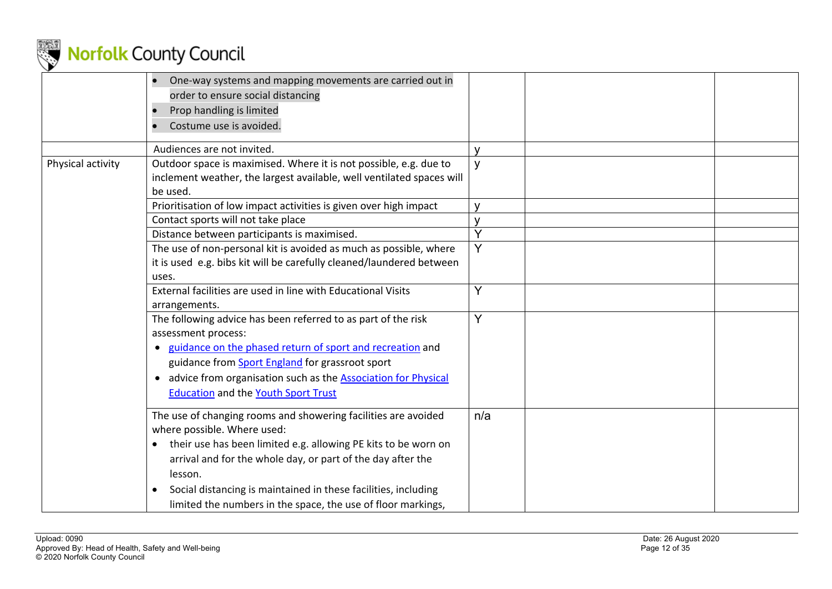

|                   | One-way systems and mapping movements are carried out in<br>order to ensure social distancing<br>Prop handling is limited<br>Costume use is avoided.                                                                                                                                                                                                                                          |              |
|-------------------|-----------------------------------------------------------------------------------------------------------------------------------------------------------------------------------------------------------------------------------------------------------------------------------------------------------------------------------------------------------------------------------------------|--------------|
|                   | Audiences are not invited.                                                                                                                                                                                                                                                                                                                                                                    |              |
| Physical activity | Outdoor space is maximised. Where it is not possible, e.g. due to<br>inclement weather, the largest available, well ventilated spaces will<br>be used.                                                                                                                                                                                                                                        | y            |
|                   | Prioritisation of low impact activities is given over high impact                                                                                                                                                                                                                                                                                                                             | $\mathbf{V}$ |
|                   | Contact sports will not take place                                                                                                                                                                                                                                                                                                                                                            |              |
|                   | Distance between participants is maximised.                                                                                                                                                                                                                                                                                                                                                   | Ý            |
|                   | The use of non-personal kit is avoided as much as possible, where<br>it is used e.g. bibs kit will be carefully cleaned/laundered between<br>uses.                                                                                                                                                                                                                                            | Y            |
|                   | External facilities are used in line with Educational Visits<br>arrangements.                                                                                                                                                                                                                                                                                                                 | Y            |
|                   | The following advice has been referred to as part of the risk<br>assessment process:<br>• guidance on the phased return of sport and recreation and<br>guidance from Sport England for grassroot sport<br>• advice from organisation such as the <b>Association for Physical</b><br><b>Education and the Youth Sport Trust</b>                                                                | Ý            |
|                   | The use of changing rooms and showering facilities are avoided<br>where possible. Where used:<br>their use has been limited e.g. allowing PE kits to be worn on<br>$\bullet$<br>arrival and for the whole day, or part of the day after the<br>lesson.<br>Social distancing is maintained in these facilities, including<br>٠<br>limited the numbers in the space, the use of floor markings, | n/a          |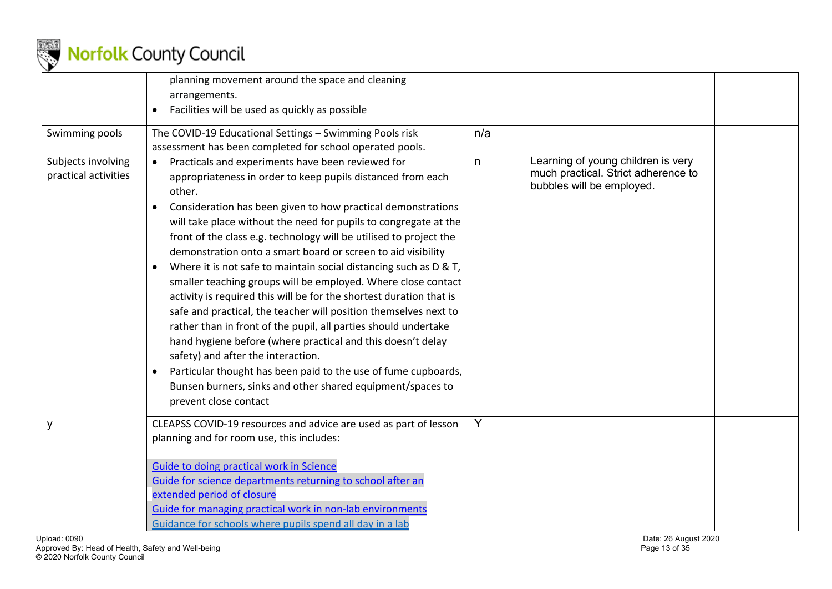

|                                            | planning movement around the space and cleaning<br>arrangements.<br>Facilities will be used as quickly as possible<br>$\bullet$                                                                                                                                                                                                                                                                                                                                                                                                                                                                                                                                                                                                                                                                                                                                                                                                                                                                                        |     |                                                                                                        |  |
|--------------------------------------------|------------------------------------------------------------------------------------------------------------------------------------------------------------------------------------------------------------------------------------------------------------------------------------------------------------------------------------------------------------------------------------------------------------------------------------------------------------------------------------------------------------------------------------------------------------------------------------------------------------------------------------------------------------------------------------------------------------------------------------------------------------------------------------------------------------------------------------------------------------------------------------------------------------------------------------------------------------------------------------------------------------------------|-----|--------------------------------------------------------------------------------------------------------|--|
| Swimming pools                             | The COVID-19 Educational Settings - Swimming Pools risk<br>assessment has been completed for school operated pools.                                                                                                                                                                                                                                                                                                                                                                                                                                                                                                                                                                                                                                                                                                                                                                                                                                                                                                    | n/a |                                                                                                        |  |
| Subjects involving<br>practical activities | Practicals and experiments have been reviewed for<br>appropriateness in order to keep pupils distanced from each<br>other.<br>Consideration has been given to how practical demonstrations<br>will take place without the need for pupils to congregate at the<br>front of the class e.g. technology will be utilised to project the<br>demonstration onto a smart board or screen to aid visibility<br>Where it is not safe to maintain social distancing such as D & T,<br>smaller teaching groups will be employed. Where close contact<br>activity is required this will be for the shortest duration that is<br>safe and practical, the teacher will position themselves next to<br>rather than in front of the pupil, all parties should undertake<br>hand hygiene before (where practical and this doesn't delay<br>safety) and after the interaction.<br>Particular thought has been paid to the use of fume cupboards,<br>Bunsen burners, sinks and other shared equipment/spaces to<br>prevent close contact | n   | Learning of young children is very<br>much practical. Strict adherence to<br>bubbles will be employed. |  |
| ٧                                          | CLEAPSS COVID-19 resources and advice are used as part of lesson<br>planning and for room use, this includes:<br><b>Guide to doing practical work in Science</b><br>Guide for science departments returning to school after an<br>extended period of closure<br>Guide for managing practical work in non-lab environments<br>Guidance for schools where pupils spend all day in a lab                                                                                                                                                                                                                                                                                                                                                                                                                                                                                                                                                                                                                                  | Y   |                                                                                                        |  |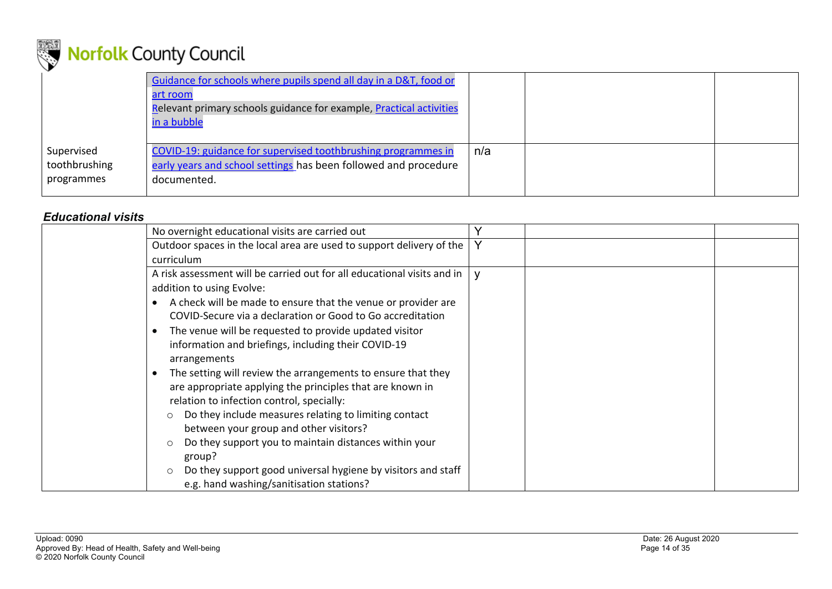

|                                           | Guidance for schools where pupils spend all day in a D&T, food or<br>art room<br>Relevant primary schools guidance for example, Practical activities<br>in a bubble |     |  |
|-------------------------------------------|---------------------------------------------------------------------------------------------------------------------------------------------------------------------|-----|--|
| Supervised<br>toothbrushing<br>programmes | COVID-19: guidance for supervised toothbrushing programmes in<br>early years and school settings has been followed and procedure<br>documented.                     | n/a |  |

#### *Educational visits*

| No overnight educational visits are carried out                            |  |
|----------------------------------------------------------------------------|--|
| Outdoor spaces in the local area are used to support delivery of the       |  |
| curriculum                                                                 |  |
| A risk assessment will be carried out for all educational visits and in    |  |
| addition to using Evolve:                                                  |  |
| A check will be made to ensure that the venue or provider are<br>$\bullet$ |  |
| COVID-Secure via a declaration or Good to Go accreditation                 |  |
| The venue will be requested to provide updated visitor<br>$\bullet$        |  |
| information and briefings, including their COVID-19                        |  |
| arrangements                                                               |  |
| The setting will review the arrangements to ensure that they<br>$\bullet$  |  |
| are appropriate applying the principles that are known in                  |  |
| relation to infection control, specially:                                  |  |
| Do they include measures relating to limiting contact<br>$\circ$           |  |
| between your group and other visitors?                                     |  |
| Do they support you to maintain distances within your                      |  |
| group?                                                                     |  |
| Do they support good universal hygiene by visitors and staff<br>$\circ$    |  |
| e.g. hand washing/sanitisation stations?                                   |  |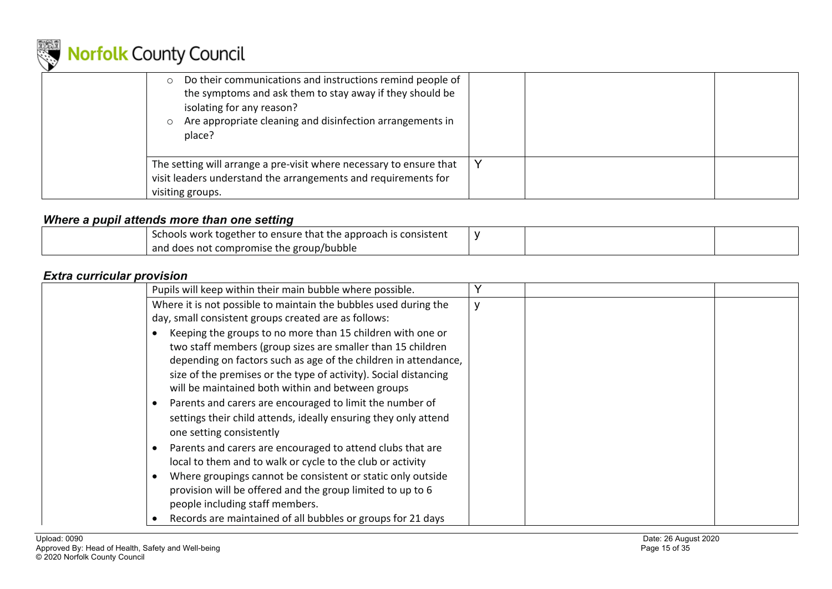

| Do their communications and instructions remind people of<br>the symptoms and ask them to stay away if they should be<br>isolating for any reason?<br>Are appropriate cleaning and disinfection arrangements in<br>place? |  |  |
|---------------------------------------------------------------------------------------------------------------------------------------------------------------------------------------------------------------------------|--|--|
| The setting will arrange a pre-visit where necessary to ensure that<br>visit leaders understand the arrangements and requirements for<br>visiting groups.                                                                 |  |  |

#### *Where a pupil attends more than one setting*

| Schools work together to ensure that the approach is consistent |  |  |
|-----------------------------------------------------------------|--|--|
| and does not compromise the group/bubble                        |  |  |

### *Extra curricular provision*

| Pupils will keep within their main bubble where possible.        |  |
|------------------------------------------------------------------|--|
| Where it is not possible to maintain the bubbles used during the |  |
| day, small consistent groups created are as follows:             |  |
| Keeping the groups to no more than 15 children with one or       |  |
| two staff members (group sizes are smaller than 15 children      |  |
| depending on factors such as age of the children in attendance,  |  |
| size of the premises or the type of activity). Social distancing |  |
| will be maintained both within and between groups                |  |
| Parents and carers are encouraged to limit the number of         |  |
| settings their child attends, ideally ensuring they only attend  |  |
| one setting consistently                                         |  |
| Parents and carers are encouraged to attend clubs that are       |  |
| local to them and to walk or cycle to the club or activity       |  |
| Where groupings cannot be consistent or static only outside      |  |
| provision will be offered and the group limited to up to 6       |  |
| people including staff members.                                  |  |
| Records are maintained of all bubbles or groups for 21 days      |  |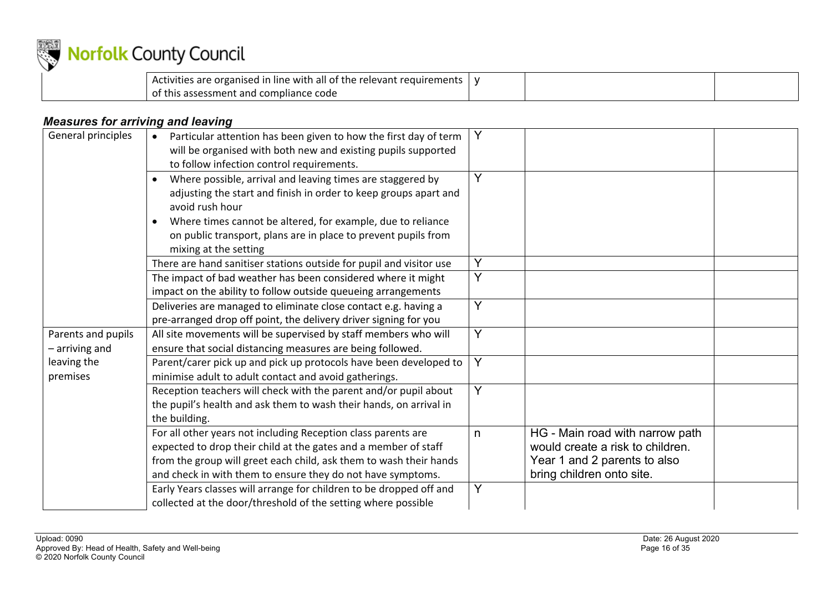

| Activities are organised in line with all of the relevant requirements |  |  |
|------------------------------------------------------------------------|--|--|
| of this assessment and compliance code                                 |  |  |

### *Measures for arriving and leaving*

| General principles                     | Particular attention has been given to how the first day of term<br>will be organised with both new and existing pupils supported<br>to follow infection control requirements.                                                                                        |    |                                                                                                                                  |
|----------------------------------------|-----------------------------------------------------------------------------------------------------------------------------------------------------------------------------------------------------------------------------------------------------------------------|----|----------------------------------------------------------------------------------------------------------------------------------|
|                                        | Where possible, arrival and leaving times are staggered by<br>adjusting the start and finish in order to keep groups apart and<br>avoid rush hour                                                                                                                     | Y  |                                                                                                                                  |
|                                        | Where times cannot be altered, for example, due to reliance<br>on public transport, plans are in place to prevent pupils from<br>mixing at the setting                                                                                                                |    |                                                                                                                                  |
|                                        | There are hand sanitiser stations outside for pupil and visitor use                                                                                                                                                                                                   | Y  |                                                                                                                                  |
|                                        | The impact of bad weather has been considered where it might<br>impact on the ability to follow outside queueing arrangements                                                                                                                                         | Y  |                                                                                                                                  |
|                                        | Deliveries are managed to eliminate close contact e.g. having a<br>pre-arranged drop off point, the delivery driver signing for you                                                                                                                                   | Y  |                                                                                                                                  |
| Parents and pupils<br>$-$ arriving and | All site movements will be supervised by staff members who will<br>ensure that social distancing measures are being followed.                                                                                                                                         | Y  |                                                                                                                                  |
| leaving the<br>premises                | Parent/carer pick up and pick up protocols have been developed to<br>minimise adult to adult contact and avoid gatherings.                                                                                                                                            | Y  |                                                                                                                                  |
|                                        | Reception teachers will check with the parent and/or pupil about<br>the pupil's health and ask them to wash their hands, on arrival in<br>the building.                                                                                                               | Y  |                                                                                                                                  |
|                                        | For all other years not including Reception class parents are<br>expected to drop their child at the gates and a member of staff<br>from the group will greet each child, ask them to wash their hands<br>and check in with them to ensure they do not have symptoms. | n. | HG - Main road with narrow path<br>would create a risk to children.<br>Year 1 and 2 parents to also<br>bring children onto site. |
|                                        | Early Years classes will arrange for children to be dropped off and<br>collected at the door/threshold of the setting where possible                                                                                                                                  | Y  |                                                                                                                                  |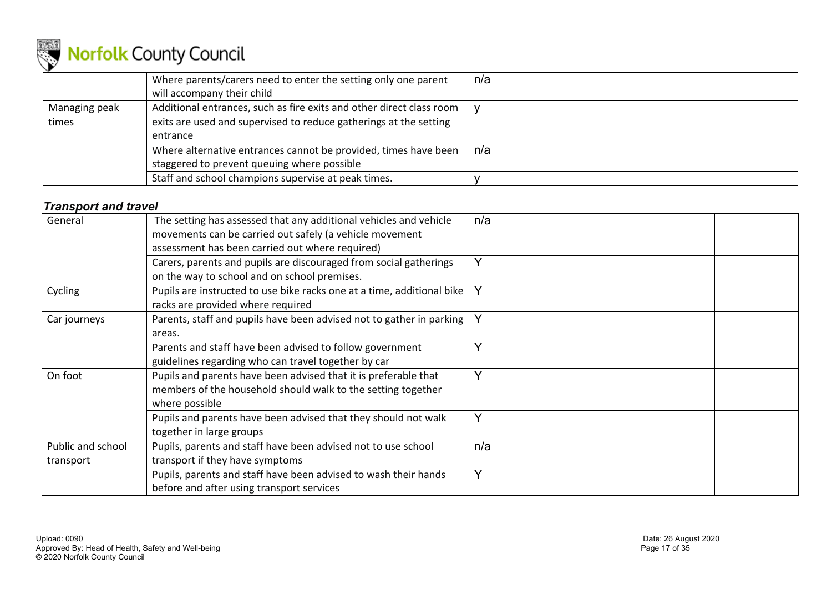

|                        | Where parents/carers need to enter the setting only one parent<br>will accompany their child                                                          | n/a |
|------------------------|-------------------------------------------------------------------------------------------------------------------------------------------------------|-----|
| Managing peak<br>times | Additional entrances, such as fire exits and other direct class room<br>exits are used and supervised to reduce gatherings at the setting<br>entrance |     |
|                        | Where alternative entrances cannot be provided, times have been<br>staggered to prevent queuing where possible                                        | n/a |
|                        | Staff and school champions supervise at peak times.                                                                                                   |     |

#### *Transport and travel*

| General                        | The setting has assessed that any additional vehicles and vehicle<br>movements can be carried out safely (a vehicle movement<br>assessment has been carried out where required) | n/a          |
|--------------------------------|---------------------------------------------------------------------------------------------------------------------------------------------------------------------------------|--------------|
|                                | Carers, parents and pupils are discouraged from social gatherings<br>on the way to school and on school premises.                                                               | $\checkmark$ |
| Cycling                        | Pupils are instructed to use bike racks one at a time, additional bike<br>racks are provided where required                                                                     |              |
| Car journeys                   | Parents, staff and pupils have been advised not to gather in parking<br>areas.                                                                                                  |              |
|                                | Parents and staff have been advised to follow government<br>guidelines regarding who can travel together by car                                                                 |              |
| On foot                        | Pupils and parents have been advised that it is preferable that<br>members of the household should walk to the setting together<br>where possible                               | $\checkmark$ |
|                                | Pupils and parents have been advised that they should not walk<br>together in large groups                                                                                      | v            |
| Public and school<br>transport | Pupils, parents and staff have been advised not to use school<br>transport if they have symptoms                                                                                | n/a          |
|                                | Pupils, parents and staff have been advised to wash their hands<br>before and after using transport services                                                                    | $\checkmark$ |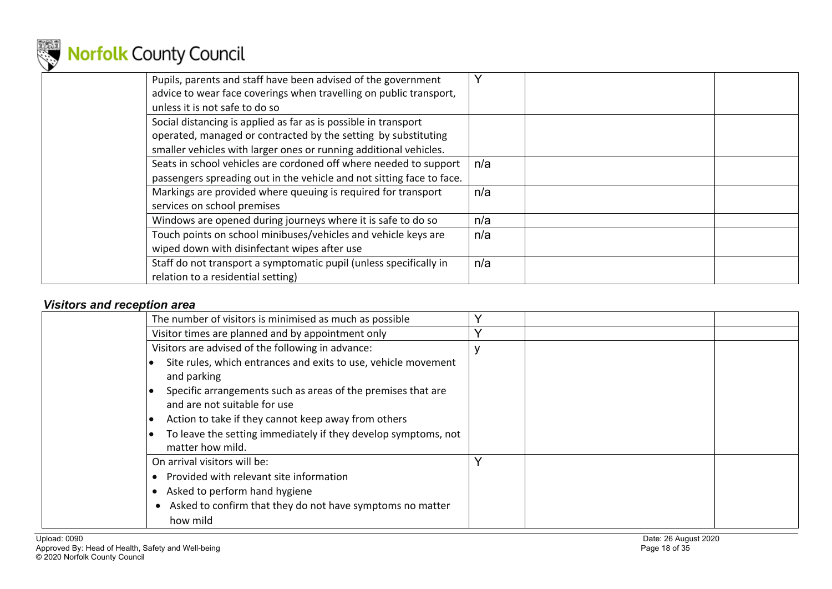

| Pupils, parents and staff have been advised of the government<br>advice to wear face coverings when travelling on public transport,<br>unless it is not safe to do so                                  | Y   |  |
|--------------------------------------------------------------------------------------------------------------------------------------------------------------------------------------------------------|-----|--|
| Social distancing is applied as far as is possible in transport<br>operated, managed or contracted by the setting by substituting<br>smaller vehicles with larger ones or running additional vehicles. |     |  |
| Seats in school vehicles are cordoned off where needed to support<br>passengers spreading out in the vehicle and not sitting face to face.                                                             | n/a |  |
| Markings are provided where queuing is required for transport<br>services on school premises                                                                                                           | n/a |  |
| Windows are opened during journeys where it is safe to do so                                                                                                                                           | n/a |  |
| Touch points on school minibuses/vehicles and vehicle keys are<br>wiped down with disinfectant wipes after use                                                                                         | n/a |  |
| Staff do not transport a symptomatic pupil (unless specifically in<br>relation to a residential setting)                                                                                               | n/a |  |

### *Visitors and reception area*

| The number of visitors is minimised as much as possible                                                                                                                                                                                                                                                                    |              |
|----------------------------------------------------------------------------------------------------------------------------------------------------------------------------------------------------------------------------------------------------------------------------------------------------------------------------|--------------|
| Visitor times are planned and by appointment only                                                                                                                                                                                                                                                                          | $\checkmark$ |
| Visitors are advised of the following in advance:                                                                                                                                                                                                                                                                          |              |
| Site rules, which entrances and exits to use, vehicle movement<br>and parking<br>Specific arrangements such as areas of the premises that are<br>and are not suitable for use<br>Action to take if they cannot keep away from others<br>To leave the setting immediately if they develop symptoms, not<br>matter how mild. |              |
| On arrival visitors will be:                                                                                                                                                                                                                                                                                               |              |
| Provided with relevant site information<br>Asked to perform hand hygiene<br>Asked to confirm that they do not have symptoms no matter<br>how mild                                                                                                                                                                          |              |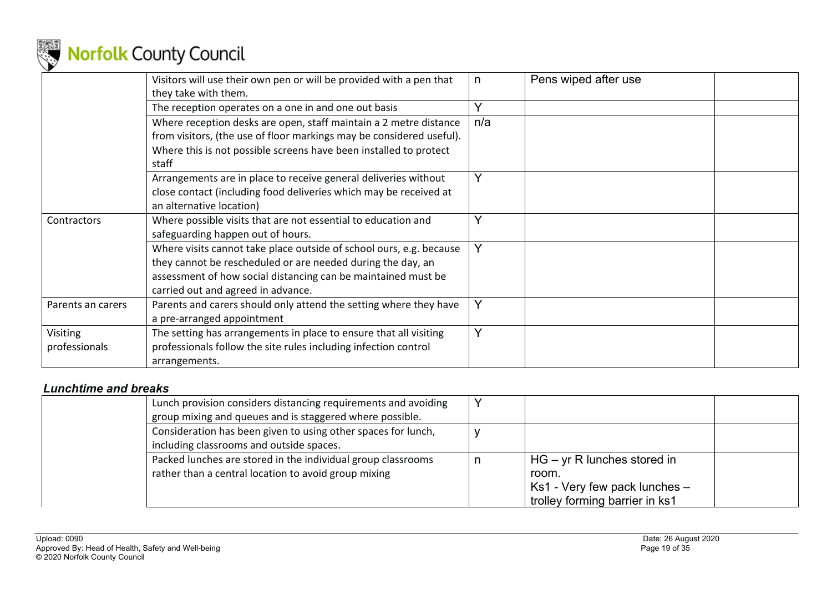

|                           | Visitors will use their own pen or will be provided with a pen that<br>they take with them.                                                                                                                                               |     | Pens wiped after use |
|---------------------------|-------------------------------------------------------------------------------------------------------------------------------------------------------------------------------------------------------------------------------------------|-----|----------------------|
|                           | The reception operates on a one in and one out basis                                                                                                                                                                                      |     |                      |
|                           | Where reception desks are open, staff maintain a 2 metre distance<br>from visitors, (the use of floor markings may be considered useful).<br>Where this is not possible screens have been installed to protect<br>staff                   | n/a |                      |
|                           | Arrangements are in place to receive general deliveries without<br>close contact (including food deliveries which may be received at<br>an alternative location)                                                                          |     |                      |
| Contractors               | Where possible visits that are not essential to education and<br>safeguarding happen out of hours.                                                                                                                                        |     |                      |
|                           | Where visits cannot take place outside of school ours, e.g. because<br>they cannot be rescheduled or are needed during the day, an<br>assessment of how social distancing can be maintained must be<br>carried out and agreed in advance. | Y   |                      |
| Parents an carers         | Parents and carers should only attend the setting where they have<br>a pre-arranged appointment                                                                                                                                           | Y   |                      |
| Visiting<br>professionals | The setting has arrangements in place to ensure that all visiting<br>professionals follow the site rules including infection control<br>arrangements.                                                                                     | Y   |                      |

### *Lunchtime and breaks*

| Lunch provision considers distancing requirements and avoiding<br>group mixing and queues and is staggered where possible. |                                                                                                           |
|----------------------------------------------------------------------------------------------------------------------------|-----------------------------------------------------------------------------------------------------------|
| Consideration has been given to using other spaces for lunch,<br>including classrooms and outside spaces.                  |                                                                                                           |
| Packed lunches are stored in the individual group classrooms<br>rather than a central location to avoid group mixing       | $HG - yr R$ lunches stored in<br>room.<br>Ks1 - Very few pack lunches -<br>trolley forming barrier in ks1 |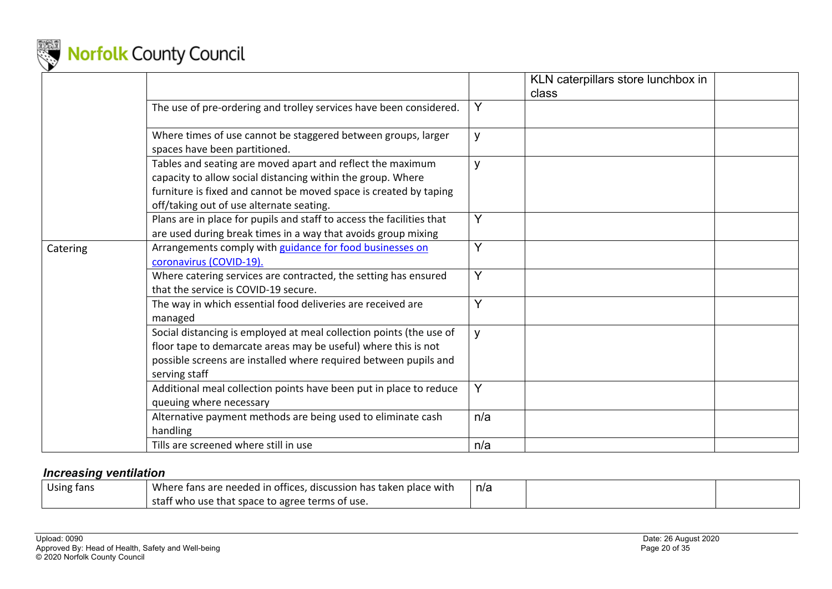

|          |                                                                                                                                                                                                                                            |     | KLN caterpillars store lunchbox in<br>class |  |
|----------|--------------------------------------------------------------------------------------------------------------------------------------------------------------------------------------------------------------------------------------------|-----|---------------------------------------------|--|
|          | The use of pre-ordering and trolley services have been considered.                                                                                                                                                                         | Y   |                                             |  |
|          | Where times of use cannot be staggered between groups, larger<br>spaces have been partitioned.                                                                                                                                             | y   |                                             |  |
|          | Tables and seating are moved apart and reflect the maximum<br>capacity to allow social distancing within the group. Where<br>furniture is fixed and cannot be moved space is created by taping<br>off/taking out of use alternate seating. | y   |                                             |  |
|          | Plans are in place for pupils and staff to access the facilities that<br>are used during break times in a way that avoids group mixing                                                                                                     | Y   |                                             |  |
| Catering | Arrangements comply with guidance for food businesses on<br>coronavirus (COVID-19).                                                                                                                                                        | Y   |                                             |  |
|          | Where catering services are contracted, the setting has ensured<br>that the service is COVID-19 secure.                                                                                                                                    | Y   |                                             |  |
|          | The way in which essential food deliveries are received are<br>managed                                                                                                                                                                     | Y   |                                             |  |
|          | Social distancing is employed at meal collection points (the use of<br>floor tape to demarcate areas may be useful) where this is not<br>possible screens are installed where required between pupils and<br>serving staff                 | y   |                                             |  |
|          | Additional meal collection points have been put in place to reduce<br>queuing where necessary                                                                                                                                              | Y   |                                             |  |
|          | Alternative payment methods are being used to eliminate cash<br>handling                                                                                                                                                                   | n/a |                                             |  |
|          | Tills are screened where still in use                                                                                                                                                                                                      | n/a |                                             |  |

#### *Increasing ventilation*

| Using fans | Where fans are needed in<br>n offices, discussion has taken place with | n/a |  |
|------------|------------------------------------------------------------------------|-----|--|
|            | staff who use that space to agree terms of use.                        |     |  |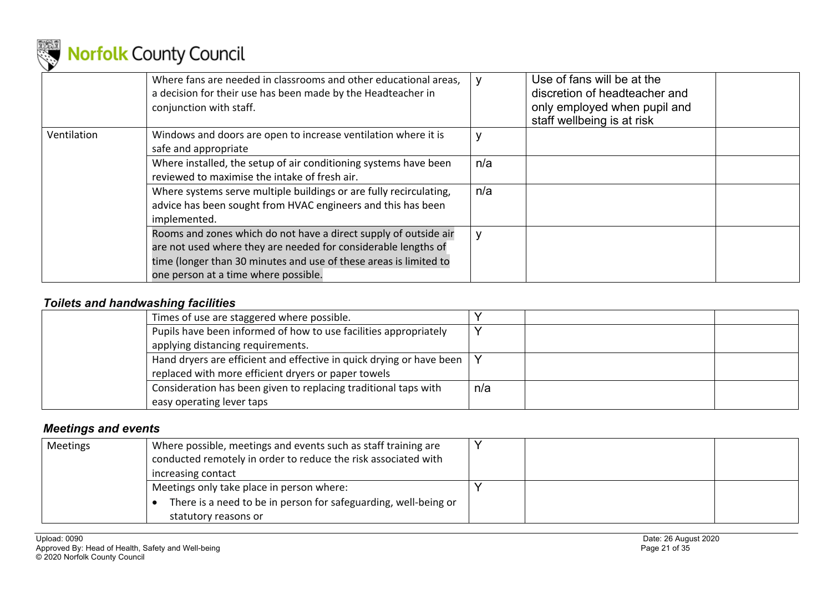

|             | Where fans are needed in classrooms and other educational areas,<br>a decision for their use has been made by the Headteacher in<br>conjunction with staff.                                                                                     |     | Use of fans will be at the<br>discretion of headteacher and<br>only employed when pupil and<br>staff wellbeing is at risk |  |
|-------------|-------------------------------------------------------------------------------------------------------------------------------------------------------------------------------------------------------------------------------------------------|-----|---------------------------------------------------------------------------------------------------------------------------|--|
| Ventilation | Windows and doors are open to increase ventilation where it is<br>safe and appropriate                                                                                                                                                          |     |                                                                                                                           |  |
|             | Where installed, the setup of air conditioning systems have been<br>reviewed to maximise the intake of fresh air.                                                                                                                               | n/a |                                                                                                                           |  |
|             | Where systems serve multiple buildings or are fully recirculating,<br>advice has been sought from HVAC engineers and this has been<br>implemented.                                                                                              | n/a |                                                                                                                           |  |
|             | Rooms and zones which do not have a direct supply of outside air<br>are not used where they are needed for considerable lengths of<br>time (longer than 30 minutes and use of these areas is limited to<br>one person at a time where possible. |     |                                                                                                                           |  |

### *Toilets and handwashing facilities*

| Times of use are staggered where possible.                           |     |
|----------------------------------------------------------------------|-----|
| Pupils have been informed of how to use facilities appropriately     |     |
| applying distancing requirements.                                    |     |
| Hand dryers are efficient and effective in quick drying or have been |     |
| replaced with more efficient dryers or paper towels                  |     |
| Consideration has been given to replacing traditional taps with      | n/a |
| easy operating lever taps                                            |     |

#### *Meetings and events*

| <b>Meetings</b> | Where possible, meetings and events such as staff training are<br>conducted remotely in order to reduce the risk associated with<br>increasing contact |  |  |
|-----------------|--------------------------------------------------------------------------------------------------------------------------------------------------------|--|--|
|                 | Meetings only take place in person where:                                                                                                              |  |  |
|                 | There is a need to be in person for safeguarding, well-being or                                                                                        |  |  |
|                 | statutory reasons or                                                                                                                                   |  |  |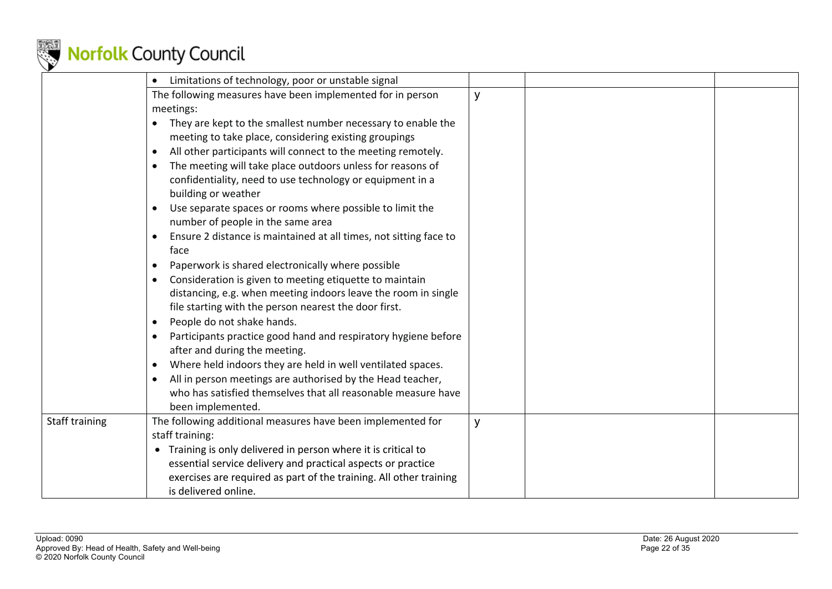

|                | Limitations of technology, poor or unstable signal                             |   |  |
|----------------|--------------------------------------------------------------------------------|---|--|
|                | The following measures have been implemented for in person                     | y |  |
|                | meetings:                                                                      |   |  |
|                | They are kept to the smallest number necessary to enable the                   |   |  |
|                | meeting to take place, considering existing groupings                          |   |  |
|                | All other participants will connect to the meeting remotely.                   |   |  |
|                | The meeting will take place outdoors unless for reasons of                     |   |  |
|                | confidentiality, need to use technology or equipment in a                      |   |  |
|                | building or weather                                                            |   |  |
|                | Use separate spaces or rooms where possible to limit the                       |   |  |
|                | number of people in the same area                                              |   |  |
|                | Ensure 2 distance is maintained at all times, not sitting face to<br>$\bullet$ |   |  |
|                | face                                                                           |   |  |
|                | Paperwork is shared electronically where possible                              |   |  |
|                | Consideration is given to meeting etiquette to maintain                        |   |  |
|                | distancing, e.g. when meeting indoors leave the room in single                 |   |  |
|                | file starting with the person nearest the door first.                          |   |  |
|                | People do not shake hands.<br>$\bullet$                                        |   |  |
|                | Participants practice good hand and respiratory hygiene before                 |   |  |
|                | after and during the meeting.                                                  |   |  |
|                | Where held indoors they are held in well ventilated spaces.<br>$\bullet$       |   |  |
|                | All in person meetings are authorised by the Head teacher,                     |   |  |
|                | who has satisfied themselves that all reasonable measure have                  |   |  |
|                | been implemented.                                                              |   |  |
| Staff training | The following additional measures have been implemented for                    | y |  |
|                | staff training:                                                                |   |  |
|                | Training is only delivered in person where it is critical to<br>$\bullet$      |   |  |
|                | essential service delivery and practical aspects or practice                   |   |  |
|                | exercises are required as part of the training. All other training             |   |  |
|                | is delivered online.                                                           |   |  |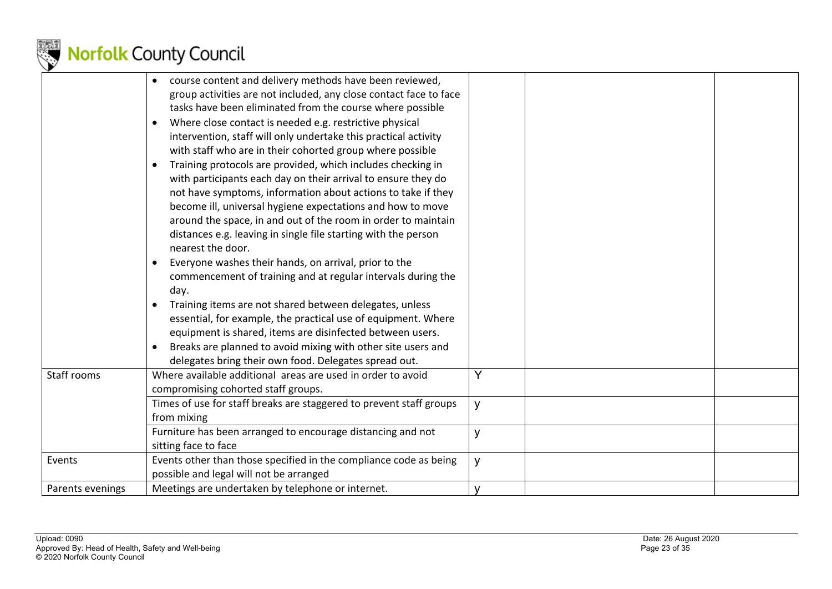|                  | course content and delivery methods have been reviewed,<br>group activities are not included, any close contact face to face<br>tasks have been eliminated from the course where possible<br>Where close contact is needed e.g. restrictive physical<br>$\bullet$<br>intervention, staff will only undertake this practical activity<br>with staff who are in their cohorted group where possible<br>Training protocols are provided, which includes checking in<br>$\bullet$<br>with participants each day on their arrival to ensure they do<br>not have symptoms, information about actions to take if they<br>become ill, universal hygiene expectations and how to move<br>around the space, in and out of the room in order to maintain<br>distances e.g. leaving in single file starting with the person<br>nearest the door.<br>Everyone washes their hands, on arrival, prior to the<br>commencement of training and at regular intervals during the<br>day.<br>Training items are not shared between delegates, unless<br>$\bullet$<br>essential, for example, the practical use of equipment. Where<br>equipment is shared, items are disinfected between users.<br>Breaks are planned to avoid mixing with other site users and<br>delegates bring their own food. Delegates spread out. |        |  |
|------------------|------------------------------------------------------------------------------------------------------------------------------------------------------------------------------------------------------------------------------------------------------------------------------------------------------------------------------------------------------------------------------------------------------------------------------------------------------------------------------------------------------------------------------------------------------------------------------------------------------------------------------------------------------------------------------------------------------------------------------------------------------------------------------------------------------------------------------------------------------------------------------------------------------------------------------------------------------------------------------------------------------------------------------------------------------------------------------------------------------------------------------------------------------------------------------------------------------------------------------------------------------------------------------------------------------|--------|--|
| Staff rooms      | Where available additional areas are used in order to avoid<br>compromising cohorted staff groups.                                                                                                                                                                                                                                                                                                                                                                                                                                                                                                                                                                                                                                                                                                                                                                                                                                                                                                                                                                                                                                                                                                                                                                                                   | Y      |  |
|                  | Times of use for staff breaks are staggered to prevent staff groups<br>from mixing                                                                                                                                                                                                                                                                                                                                                                                                                                                                                                                                                                                                                                                                                                                                                                                                                                                                                                                                                                                                                                                                                                                                                                                                                   | y      |  |
|                  | Furniture has been arranged to encourage distancing and not<br>sitting face to face                                                                                                                                                                                                                                                                                                                                                                                                                                                                                                                                                                                                                                                                                                                                                                                                                                                                                                                                                                                                                                                                                                                                                                                                                  | y      |  |
| Events           | Events other than those specified in the compliance code as being<br>possible and legal will not be arranged                                                                                                                                                                                                                                                                                                                                                                                                                                                                                                                                                                                                                                                                                                                                                                                                                                                                                                                                                                                                                                                                                                                                                                                         | y      |  |
| Parents evenings | Meetings are undertaken by telephone or internet.                                                                                                                                                                                                                                                                                                                                                                                                                                                                                                                                                                                                                                                                                                                                                                                                                                                                                                                                                                                                                                                                                                                                                                                                                                                    | $\vee$ |  |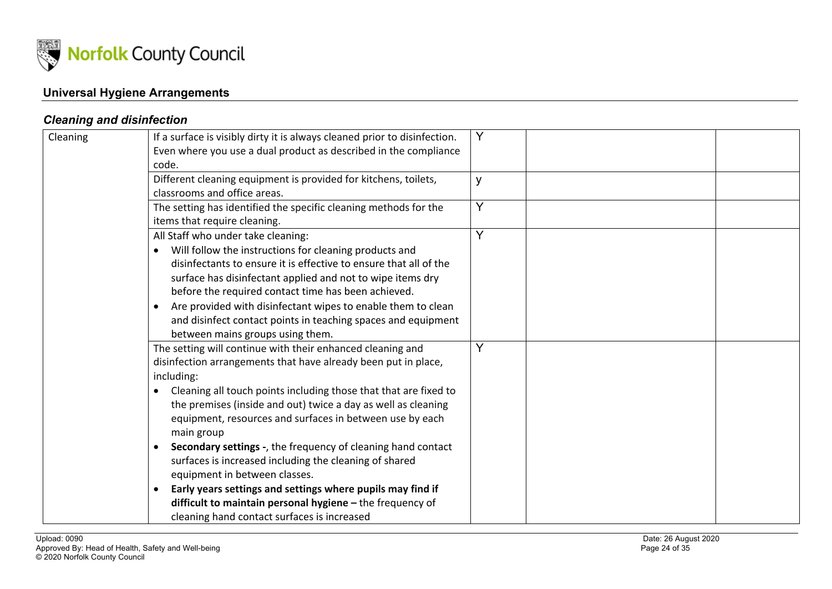

### **Universal Hygiene Arrangements**

### *Cleaning and disinfection*

| Cleaning | If a surface is visibly dirty it is always cleaned prior to disinfection.<br>Even where you use a dual product as described in the compliance<br>code.                                                                                                                                                                                                                                                                                                                                                                                                                                                                                                                                         |   |
|----------|------------------------------------------------------------------------------------------------------------------------------------------------------------------------------------------------------------------------------------------------------------------------------------------------------------------------------------------------------------------------------------------------------------------------------------------------------------------------------------------------------------------------------------------------------------------------------------------------------------------------------------------------------------------------------------------------|---|
|          | Different cleaning equipment is provided for kitchens, toilets,<br>classrooms and office areas.                                                                                                                                                                                                                                                                                                                                                                                                                                                                                                                                                                                                | y |
|          | The setting has identified the specific cleaning methods for the<br>items that require cleaning.                                                                                                                                                                                                                                                                                                                                                                                                                                                                                                                                                                                               | Y |
|          | All Staff who under take cleaning:<br>Will follow the instructions for cleaning products and<br>disinfectants to ensure it is effective to ensure that all of the<br>surface has disinfectant applied and not to wipe items dry<br>before the required contact time has been achieved.<br>Are provided with disinfectant wipes to enable them to clean<br>$\bullet$<br>and disinfect contact points in teaching spaces and equipment<br>between mains groups using them.                                                                                                                                                                                                                       | Y |
|          | The setting will continue with their enhanced cleaning and<br>disinfection arrangements that have already been put in place,<br>including:<br>Cleaning all touch points including those that that are fixed to<br>the premises (inside and out) twice a day as well as cleaning<br>equipment, resources and surfaces in between use by each<br>main group<br>Secondary settings -, the frequency of cleaning hand contact<br>surfaces is increased including the cleaning of shared<br>equipment in between classes.<br>Early years settings and settings where pupils may find if<br>difficult to maintain personal hygiene - the frequency of<br>cleaning hand contact surfaces is increased | Y |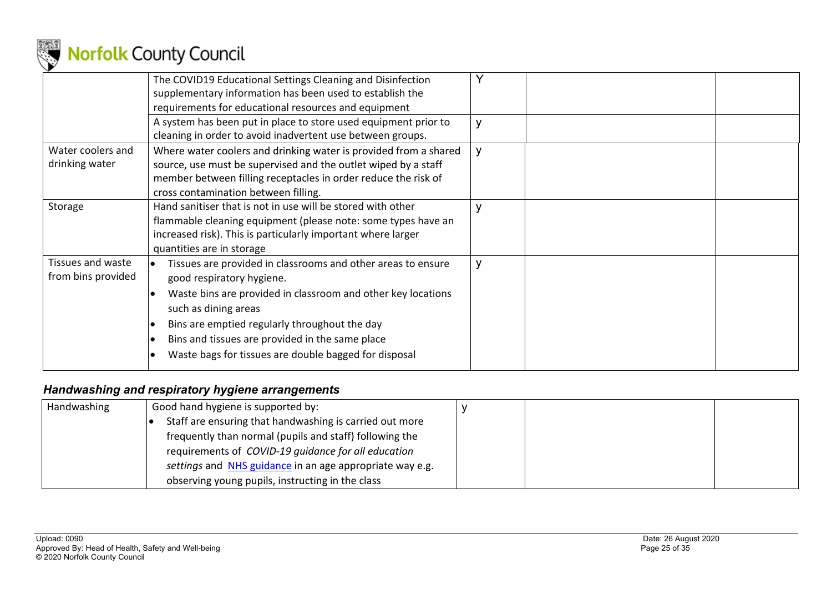

|                                         | The COVID19 Educational Settings Cleaning and Disinfection<br>supplementary information has been used to establish the<br>requirements for educational resources and equipment                                                                                                                                                                 |              |  |
|-----------------------------------------|------------------------------------------------------------------------------------------------------------------------------------------------------------------------------------------------------------------------------------------------------------------------------------------------------------------------------------------------|--------------|--|
|                                         | A system has been put in place to store used equipment prior to<br>cleaning in order to avoid inadvertent use between groups.                                                                                                                                                                                                                  |              |  |
| Water coolers and<br>drinking water     | Where water coolers and drinking water is provided from a shared<br>source, use must be supervised and the outlet wiped by a staff<br>member between filling receptacles in order reduce the risk of<br>cross contamination between filling.                                                                                                   | y            |  |
| Storage                                 | Hand sanitiser that is not in use will be stored with other<br>flammable cleaning equipment (please note: some types have an<br>increased risk). This is particularly important where larger<br>quantities are in storage                                                                                                                      |              |  |
| Tissues and waste<br>from bins provided | Tissues are provided in classrooms and other areas to ensure<br>good respiratory hygiene.<br>Waste bins are provided in classroom and other key locations<br>such as dining areas<br>Bins are emptied regularly throughout the day<br>Bins and tissues are provided in the same place<br>Waste bags for tissues are double bagged for disposal | $\mathsf{v}$ |  |

### *Handwashing and respiratory hygiene arrangements*

| Handwashing | Good hand hygiene is supported by:                       |  |  |
|-------------|----------------------------------------------------------|--|--|
|             | Staff are ensuring that handwashing is carried out more  |  |  |
|             | frequently than normal (pupils and staff) following the  |  |  |
|             | requirements of COVID-19 quidance for all education      |  |  |
|             | settings and NHS guidance in an age appropriate way e.g. |  |  |
|             | observing young pupils, instructing in the class         |  |  |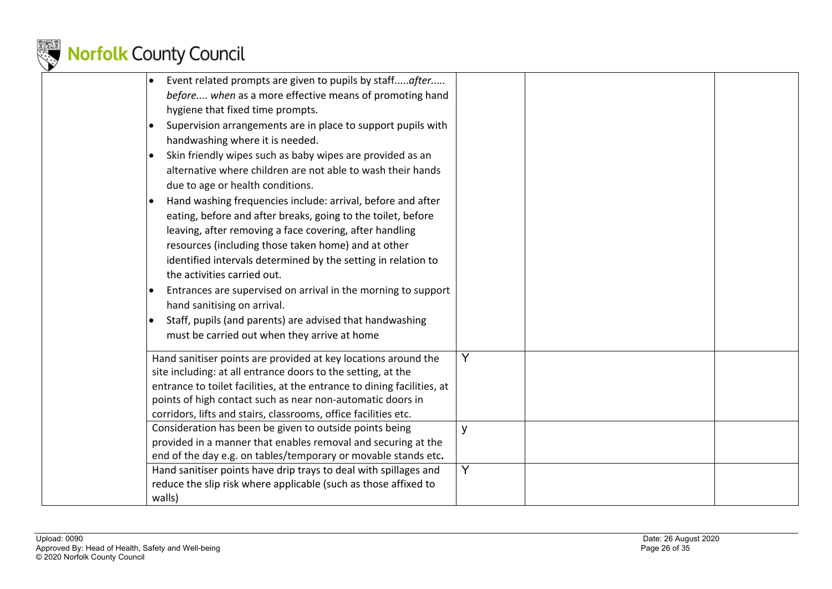

|        | Event related prompts are given to pupils by staffafter<br>before when as a more effective means of promoting hand<br>hygiene that fixed time prompts.                                                   |                |  |
|--------|----------------------------------------------------------------------------------------------------------------------------------------------------------------------------------------------------------|----------------|--|
|        | Supervision arrangements are in place to support pupils with<br>handwashing where it is needed.                                                                                                          |                |  |
|        | Skin friendly wipes such as baby wipes are provided as an<br>alternative where children are not able to wash their hands                                                                                 |                |  |
|        | due to age or health conditions.<br>Hand washing frequencies include: arrival, before and after<br>eating, before and after breaks, going to the toilet, before                                          |                |  |
|        | leaving, after removing a face covering, after handling<br>resources (including those taken home) and at other<br>identified intervals determined by the setting in relation to                          |                |  |
|        | the activities carried out.                                                                                                                                                                              |                |  |
|        | Entrances are supervised on arrival in the morning to support<br>hand sanitising on arrival.                                                                                                             |                |  |
|        | Staff, pupils (and parents) are advised that handwashing<br>must be carried out when they arrive at home                                                                                                 |                |  |
|        | Hand sanitiser points are provided at key locations around the<br>site including: at all entrance doors to the setting, at the                                                                           | Y              |  |
|        | entrance to toilet facilities, at the entrance to dining facilities, at<br>points of high contact such as near non-automatic doors in<br>corridors, lifts and stairs, classrooms, office facilities etc. |                |  |
|        | Consideration has been be given to outside points being<br>provided in a manner that enables removal and securing at the<br>end of the day e.g. on tables/temporary or movable stands etc.               | y              |  |
| walls) | Hand sanitiser points have drip trays to deal with spillages and<br>reduce the slip risk where applicable (such as those affixed to                                                                      | $\overline{Y}$ |  |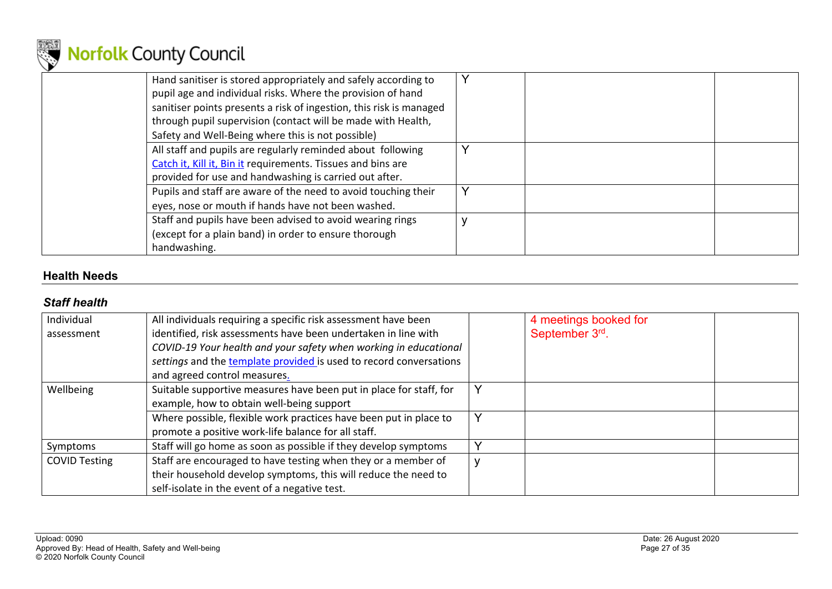

| Hand sanitiser is stored appropriately and safely according to<br>pupil age and individual risks. Where the provision of hand<br>sanitiser points presents a risk of ingestion, this risk is managed<br>through pupil supervision (contact will be made with Health,<br>Safety and Well-Being where this is not possible) |    |
|---------------------------------------------------------------------------------------------------------------------------------------------------------------------------------------------------------------------------------------------------------------------------------------------------------------------------|----|
| All staff and pupils are regularly reminded about following<br>Catch it, Kill it, Bin it requirements. Tissues and bins are<br>provided for use and handwashing is carried out after.                                                                                                                                     |    |
| Pupils and staff are aware of the need to avoid touching their<br>eyes, nose or mouth if hands have not been washed.                                                                                                                                                                                                      | Υ  |
| Staff and pupils have been advised to avoid wearing rings<br>(except for a plain band) in order to ensure thorough<br>handwashing.                                                                                                                                                                                        | A. |

### **Health Needs**

### *Staff health*

| Individual           | All individuals requiring a specific risk assessment have been     | 4 meetings booked for |  |
|----------------------|--------------------------------------------------------------------|-----------------------|--|
| assessment           | identified, risk assessments have been undertaken in line with     | September 3rd.        |  |
|                      | COVID-19 Your health and your safety when working in educational   |                       |  |
|                      | settings and the template provided is used to record conversations |                       |  |
|                      | and agreed control measures.                                       |                       |  |
| Wellbeing            | Suitable supportive measures have been put in place for staff, for |                       |  |
|                      | example, how to obtain well-being support                          |                       |  |
|                      | Where possible, flexible work practices have been put in place to  |                       |  |
|                      | promote a positive work-life balance for all staff.                |                       |  |
| Symptoms             | Staff will go home as soon as possible if they develop symptoms    |                       |  |
| <b>COVID Testing</b> | Staff are encouraged to have testing when they or a member of      |                       |  |
|                      | their household develop symptoms, this will reduce the need to     |                       |  |
|                      | self-isolate in the event of a negative test.                      |                       |  |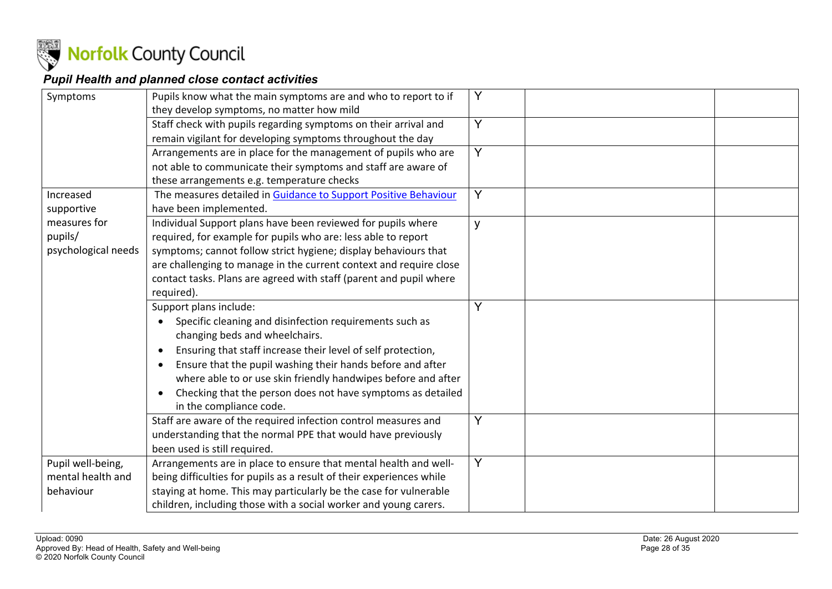

### *Pupil Health and planned close contact activities*

| Symptoms                                            | Pupils know what the main symptoms are and who to report to if<br>they develop symptoms, no matter how mild                                                                                                                                                                                                                                                                                                  | Y |
|-----------------------------------------------------|--------------------------------------------------------------------------------------------------------------------------------------------------------------------------------------------------------------------------------------------------------------------------------------------------------------------------------------------------------------------------------------------------------------|---|
|                                                     | Staff check with pupils regarding symptoms on their arrival and<br>remain vigilant for developing symptoms throughout the day                                                                                                                                                                                                                                                                                | Y |
|                                                     | Arrangements are in place for the management of pupils who are<br>not able to communicate their symptoms and staff are aware of                                                                                                                                                                                                                                                                              | Y |
| Increased<br>supportive                             | these arrangements e.g. temperature checks<br>The measures detailed in Guidance to Support Positive Behaviour<br>have been implemented.                                                                                                                                                                                                                                                                      | Y |
| measures for<br>pupils/<br>psychological needs      | Individual Support plans have been reviewed for pupils where<br>required, for example for pupils who are: less able to report<br>symptoms; cannot follow strict hygiene; display behaviours that<br>are challenging to manage in the current context and require close<br>contact tasks. Plans are agreed with staff (parent and pupil where<br>required).                                                   | y |
|                                                     | Support plans include:<br>Specific cleaning and disinfection requirements such as<br>changing beds and wheelchairs.<br>Ensuring that staff increase their level of self protection,<br>Ensure that the pupil washing their hands before and after<br>where able to or use skin friendly handwipes before and after<br>Checking that the person does not have symptoms as detailed<br>in the compliance code. | Y |
|                                                     | Staff are aware of the required infection control measures and<br>understanding that the normal PPE that would have previously<br>been used is still required.                                                                                                                                                                                                                                               | Y |
| Pupil well-being,<br>mental health and<br>behaviour | Arrangements are in place to ensure that mental health and well-<br>being difficulties for pupils as a result of their experiences while<br>staying at home. This may particularly be the case for vulnerable<br>children, including those with a social worker and young carers.                                                                                                                            | Y |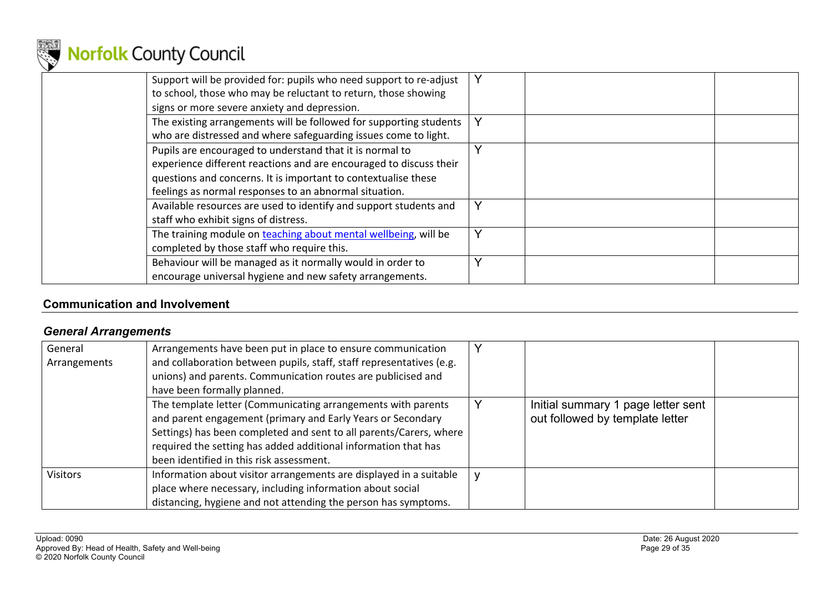

| Support will be provided for: pupils who need support to re-adjust<br>to school, those who may be reluctant to return, those showing<br>signs or more severe anxiety and depression.                                                                       | Y |
|------------------------------------------------------------------------------------------------------------------------------------------------------------------------------------------------------------------------------------------------------------|---|
| The existing arrangements will be followed for supporting students<br>who are distressed and where safeguarding issues come to light.                                                                                                                      |   |
| Pupils are encouraged to understand that it is normal to<br>experience different reactions and are encouraged to discuss their<br>questions and concerns. It is important to contextualise these<br>feelings as normal responses to an abnormal situation. |   |
| Available resources are used to identify and support students and<br>staff who exhibit signs of distress.                                                                                                                                                  | Y |
| The training module on teaching about mental wellbeing, will be<br>completed by those staff who require this.                                                                                                                                              |   |
| Behaviour will be managed as it normally would in order to<br>encourage universal hygiene and new safety arrangements.                                                                                                                                     |   |

### **Communication and Involvement**

### *General Arrangements*

| General         | Arrangements have been put in place to ensure communication          |                                    |  |
|-----------------|----------------------------------------------------------------------|------------------------------------|--|
| Arrangements    | and collaboration between pupils, staff, staff representatives (e.g. |                                    |  |
|                 | unions) and parents. Communication routes are publicised and         |                                    |  |
|                 | have been formally planned.                                          |                                    |  |
|                 | The template letter (Communicating arrangements with parents         | Initial summary 1 page letter sent |  |
|                 | and parent engagement (primary and Early Years or Secondary          | out followed by template letter    |  |
|                 | Settings) has been completed and sent to all parents/Carers, where   |                                    |  |
|                 | required the setting has added additional information that has       |                                    |  |
|                 | been identified in this risk assessment.                             |                                    |  |
| <b>Visitors</b> | Information about visitor arrangements are displayed in a suitable   |                                    |  |
|                 | place where necessary, including information about social            |                                    |  |
|                 | distancing, hygiene and not attending the person has symptoms.       |                                    |  |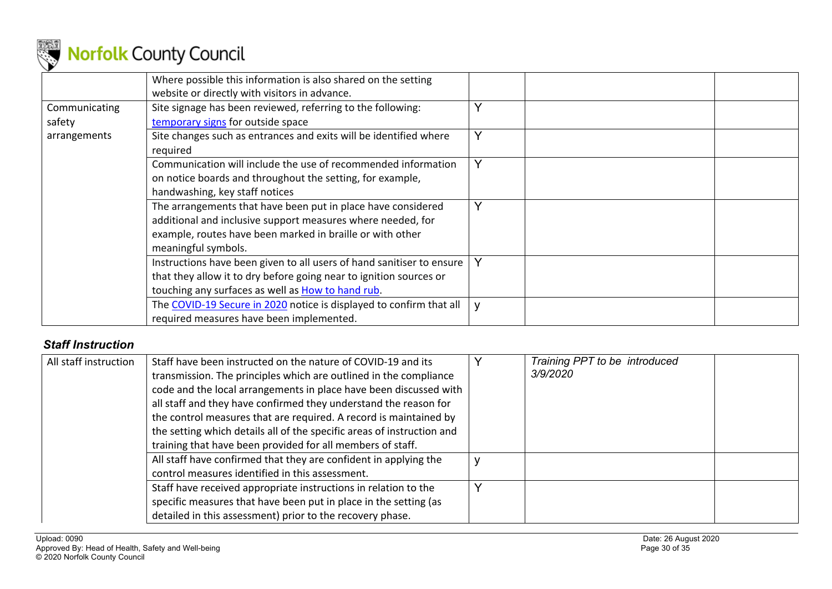

|               | Where possible this information is also shared on the setting<br>website or directly with visitors in advance. |              |
|---------------|----------------------------------------------------------------------------------------------------------------|--------------|
| Communicating | Site signage has been reviewed, referring to the following:                                                    | ∨            |
| safety        | temporary signs for outside space                                                                              |              |
| arrangements  | Site changes such as entrances and exits will be identified where                                              | $\checkmark$ |
|               | required                                                                                                       |              |
|               | Communication will include the use of recommended information                                                  |              |
|               | on notice boards and throughout the setting, for example,                                                      |              |
|               | handwashing, key staff notices                                                                                 |              |
|               | The arrangements that have been put in place have considered                                                   | Y            |
|               | additional and inclusive support measures where needed, for                                                    |              |
|               | example, routes have been marked in braille or with other                                                      |              |
|               | meaningful symbols.                                                                                            |              |
|               | Instructions have been given to all users of hand sanitiser to ensure                                          | Y            |
|               | that they allow it to dry before going near to ignition sources or                                             |              |
|               | touching any surfaces as well as How to hand rub.                                                              |              |
|               | The COVID-19 Secure in 2020 notice is displayed to confirm that all                                            | V            |
|               | required measures have been implemented.                                                                       |              |

### *Staff Instruction*

| All staff instruction | Staff have been instructed on the nature of COVID-19 and its<br>transmission. The principles which are outlined in the compliance<br>code and the local arrangements in place have been discussed with<br>all staff and they have confirmed they understand the reason for<br>the control measures that are required. A record is maintained by<br>the setting which details all of the specific areas of instruction and<br>training that have been provided for all members of staff. | Training PPT to be introduced<br>3/9/2020 |
|-----------------------|-----------------------------------------------------------------------------------------------------------------------------------------------------------------------------------------------------------------------------------------------------------------------------------------------------------------------------------------------------------------------------------------------------------------------------------------------------------------------------------------|-------------------------------------------|
|                       | All staff have confirmed that they are confident in applying the<br>control measures identified in this assessment.                                                                                                                                                                                                                                                                                                                                                                     |                                           |
|                       | Staff have received appropriate instructions in relation to the<br>specific measures that have been put in place in the setting (as<br>detailed in this assessment) prior to the recovery phase.                                                                                                                                                                                                                                                                                        |                                           |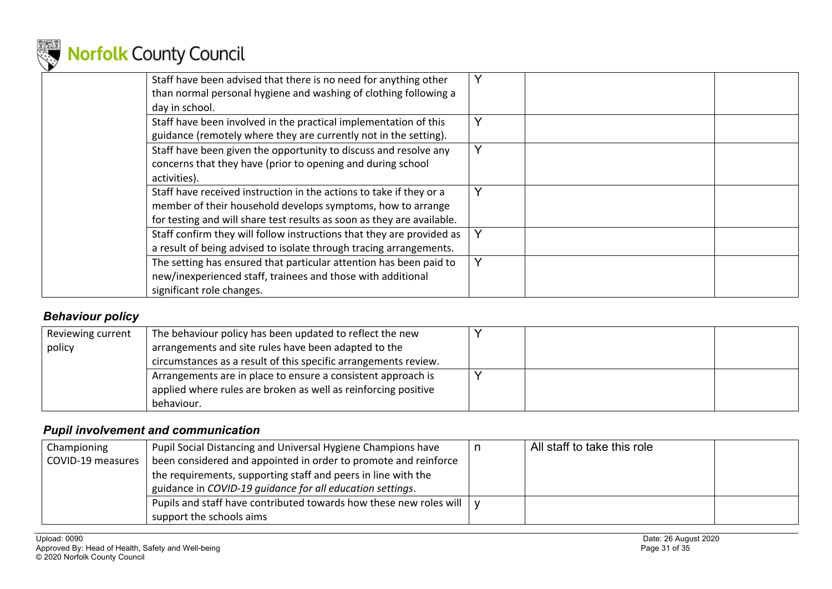

| Staff have been advised that there is no need for anything other<br>than normal personal hygiene and washing of clothing following a<br>day in school.                                                       |   |
|--------------------------------------------------------------------------------------------------------------------------------------------------------------------------------------------------------------|---|
| Staff have been involved in the practical implementation of this<br>guidance (remotely where they are currently not in the setting).                                                                         |   |
| Staff have been given the opportunity to discuss and resolve any<br>concerns that they have (prior to opening and during school<br>activities).                                                              | Y |
| Staff have received instruction in the actions to take if they or a<br>member of their household develops symptoms, how to arrange<br>for testing and will share test results as soon as they are available. |   |
| Staff confirm they will follow instructions that they are provided as<br>a result of being advised to isolate through tracing arrangements.                                                                  |   |
| The setting has ensured that particular attention has been paid to<br>new/inexperienced staff, trainees and those with additional<br>significant role changes.                                               | Y |

### *Behaviour policy*

| Reviewing current | The behaviour policy has been updated to reflect the new        |  |  |
|-------------------|-----------------------------------------------------------------|--|--|
| policy            | arrangements and site rules have been adapted to the            |  |  |
|                   | circumstances as a result of this specific arrangements review. |  |  |
|                   | Arrangements are in place to ensure a consistent approach is    |  |  |
|                   | applied where rules are broken as well as reinforcing positive  |  |  |
|                   | behaviour.                                                      |  |  |

### *Pupil involvement and communication*

| Championing       | Pupil Social Distancing and Universal Hygiene Champions have       | All staff to take this role |  |
|-------------------|--------------------------------------------------------------------|-----------------------------|--|
| COVID-19 measures | been considered and appointed in order to promote and reinforce    |                             |  |
|                   | the requirements, supporting staff and peers in line with the      |                             |  |
|                   | guidance in COVID-19 guidance for all education settings.          |                             |  |
|                   | Pupils and staff have contributed towards how these new roles will |                             |  |
|                   | support the schools aims                                           |                             |  |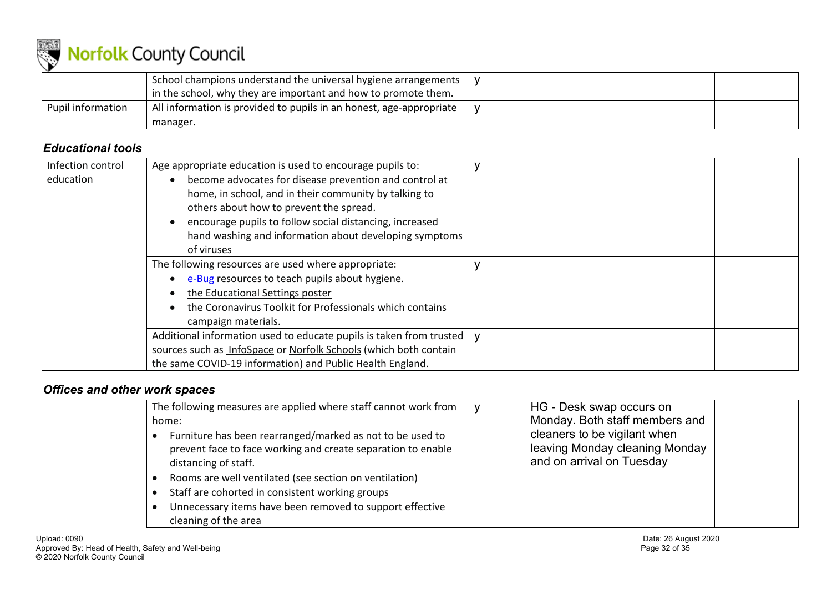

|                   | School champions understand the universal hygiene arrangements  <br>in the school, why they are important and how to promote them. |  |  |
|-------------------|------------------------------------------------------------------------------------------------------------------------------------|--|--|
| Pupil information | . All information is provided to pupils in an honest, age-appropriate<br>manager.                                                  |  |  |

### *Educational tools*

| Infection control | Age appropriate education is used to encourage pupils to:           |  |  |
|-------------------|---------------------------------------------------------------------|--|--|
| education         | become advocates for disease prevention and control at              |  |  |
|                   | home, in school, and in their community by talking to               |  |  |
|                   | others about how to prevent the spread.                             |  |  |
|                   | encourage pupils to follow social distancing, increased             |  |  |
|                   | hand washing and information about developing symptoms              |  |  |
|                   | of viruses                                                          |  |  |
|                   | The following resources are used where appropriate:                 |  |  |
|                   | e-Bug resources to teach pupils about hygiene.                      |  |  |
|                   | the Educational Settings poster                                     |  |  |
|                   | the Coronavirus Toolkit for Professionals which contains            |  |  |
|                   | campaign materials.                                                 |  |  |
|                   | Additional information used to educate pupils is taken from trusted |  |  |
|                   | sources such as InfoSpace or Norfolk Schools (which both contain    |  |  |
|                   | the same COVID-19 information) and Public Health England.           |  |  |

### *Offices and other work spaces*

| The following measures are applied where staff cannot work from<br>home:<br>Furniture has been rearranged/marked as not to be used to<br>prevent face to face working and create separation to enable<br>distancing of staff.<br>Rooms are well ventilated (see section on ventilation)<br>Staff are cohorted in consistent working groups<br>Unnecessary items have been removed to support effective<br>cleaning of the area | HG - Desk swap occurs on<br>Monday. Both staff members and<br>cleaners to be vigilant when<br>leaving Monday cleaning Monday<br>and on arrival on Tuesday |  |
|--------------------------------------------------------------------------------------------------------------------------------------------------------------------------------------------------------------------------------------------------------------------------------------------------------------------------------------------------------------------------------------------------------------------------------|-----------------------------------------------------------------------------------------------------------------------------------------------------------|--|
|--------------------------------------------------------------------------------------------------------------------------------------------------------------------------------------------------------------------------------------------------------------------------------------------------------------------------------------------------------------------------------------------------------------------------------|-----------------------------------------------------------------------------------------------------------------------------------------------------------|--|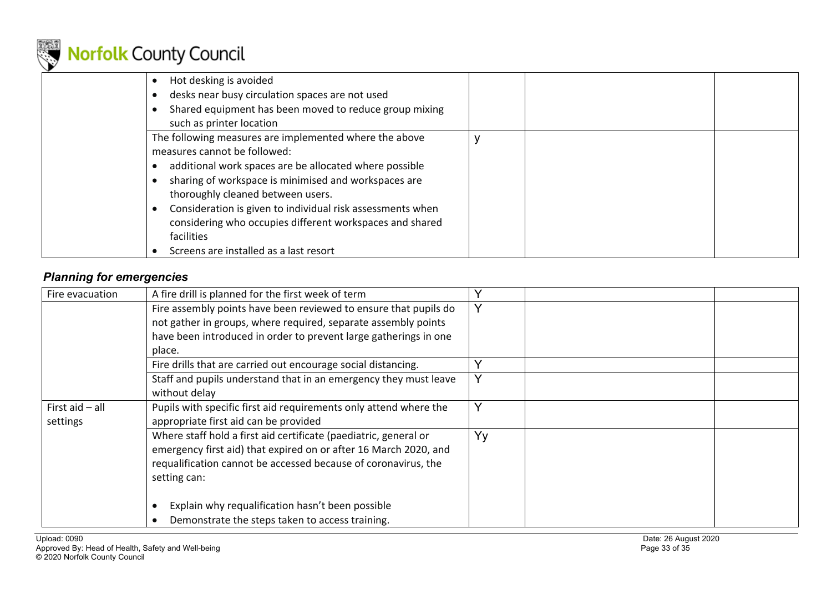

| Hot desking is avoided<br>desks near busy circulation spaces are not used<br>Shared equipment has been moved to reduce group mixing<br>such as printer location                                                                                                                                                                                                                                                                 |  |  |
|---------------------------------------------------------------------------------------------------------------------------------------------------------------------------------------------------------------------------------------------------------------------------------------------------------------------------------------------------------------------------------------------------------------------------------|--|--|
| The following measures are implemented where the above<br>measures cannot be followed:<br>additional work spaces are be allocated where possible<br>sharing of workspace is minimised and workspaces are<br>thoroughly cleaned between users.<br>Consideration is given to individual risk assessments when<br>considering who occupies different workspaces and shared<br>facilities<br>Screens are installed as a last resort |  |  |

### *Planning for emergencies*

| Fire evacuation   | A fire drill is planned for the first week of term                |              |  |
|-------------------|-------------------------------------------------------------------|--------------|--|
|                   | Fire assembly points have been reviewed to ensure that pupils do  |              |  |
|                   | not gather in groups, where required, separate assembly points    |              |  |
|                   | have been introduced in order to prevent large gatherings in one  |              |  |
|                   | place.                                                            |              |  |
|                   | Fire drills that are carried out encourage social distancing.     |              |  |
|                   | Staff and pupils understand that in an emergency they must leave  | $\checkmark$ |  |
|                   | without delay                                                     |              |  |
| First aid $-$ all | Pupils with specific first aid requirements only attend where the | v            |  |
| settings          | appropriate first aid can be provided                             |              |  |
|                   | Where staff hold a first aid certificate (paediatric, general or  | Yy           |  |
|                   | emergency first aid) that expired on or after 16 March 2020, and  |              |  |
|                   | requalification cannot be accessed because of coronavirus, the    |              |  |
|                   | setting can:                                                      |              |  |
|                   |                                                                   |              |  |
|                   | Explain why requalification hasn't been possible                  |              |  |
|                   | Demonstrate the steps taken to access training.                   |              |  |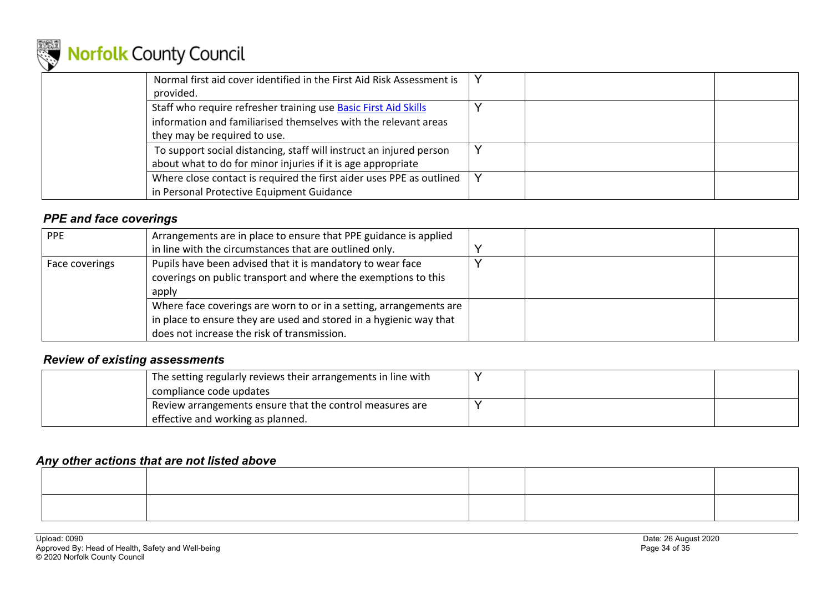

| Normal first aid cover identified in the First Aid Risk Assessment is<br>provided.                                                                                 |  |
|--------------------------------------------------------------------------------------------------------------------------------------------------------------------|--|
| Staff who require refresher training use Basic First Aid Skills<br>information and familiarised themselves with the relevant areas<br>they may be required to use. |  |
| To support social distancing, staff will instruct an injured person<br>about what to do for minor injuries if it is age appropriate                                |  |
| Where close contact is required the first aider uses PPE as outlined<br>in Personal Protective Equipment Guidance                                                  |  |

### *PPE and face coverings*

| PPE            | Arrangements are in place to ensure that PPE guidance is applied<br>in line with the circumstances that are outlined only.                                                              |  |  |
|----------------|-----------------------------------------------------------------------------------------------------------------------------------------------------------------------------------------|--|--|
| Face coverings | Pupils have been advised that it is mandatory to wear face<br>coverings on public transport and where the exemptions to this<br>apply                                                   |  |  |
|                | Where face coverings are worn to or in a setting, arrangements are<br>in place to ensure they are used and stored in a hygienic way that<br>does not increase the risk of transmission. |  |  |

#### *Review of existing assessments*

| The setting regularly reviews their arrangements in line with<br>compliance code updates |  |  |
|------------------------------------------------------------------------------------------|--|--|
| Review arrangements ensure that the control measures are                                 |  |  |
| effective and working as planned.                                                        |  |  |

#### *Any other actions that are not listed above*